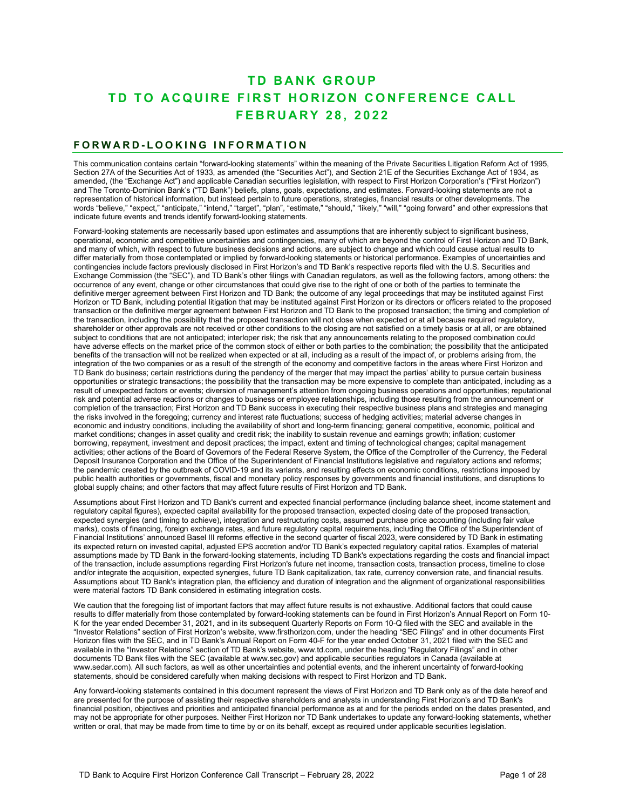# **TD BANK GROUP TD TO ACQUIRE FIRST HORIZON CONFERENCE CALL FEB RUARY 28, 2022**

#### **F ORWARD - LOOKING INFORMATION**

This communication contains certain "forward-looking statements" within the meaning of the Private Securities Litigation Reform Act of 1995, Section 27A of the Securities Act of 1933, as amended (the "Securities Act"), and Section 21E of the Securities Exchange Act of 1934, as amended, (the "Exchange Act") and applicable Canadian securities legislation, with respect to First Horizon Corporation's ("First Horizon") and The Toronto-Dominion Bank's ("TD Bank") beliefs, plans, goals, expectations, and estimates. Forward-looking statements are not a representation of historical information, but instead pertain to future operations, strategies, financial results or other developments. The words "believe," "expect," "anticipate," "intend," "target", "plan", "estimate," "should," "likely," "will," "going forward" and other expressions that indicate future events and trends identify forward-looking statements.

Forward-looking statements are necessarily based upon estimates and assumptions that are inherently subject to significant business, operational, economic and competitive uncertainties and contingencies, many of which are beyond the control of First Horizon and TD Bank, and many of which, with respect to future business decisions and actions, are subject to change and which could cause actual results to differ materially from those contemplated or implied by forward-looking statements or historical performance. Examples of uncertainties and contingencies include factors previously disclosed in First Horizon's and TD Bank's respective reports filed with the U.S. Securities and Exchange Commission (the "SEC"), and TD Bank's other filings with Canadian regulators, as well as the following factors, among others: the occurrence of any event, change or other circumstances that could give rise to the right of one or both of the parties to terminate the definitive merger agreement between First Horizon and TD Bank; the outcome of any legal proceedings that may be instituted against First Horizon or TD Bank, including potential litigation that may be instituted against First Horizon or its directors or officers related to the proposed transaction or the definitive merger agreement between First Horizon and TD Bank to the proposed transaction; the timing and completion of the transaction, including the possibility that the proposed transaction will not close when expected or at all because required regulatory, shareholder or other approvals are not received or other conditions to the closing are not satisfied on a timely basis or at all, or are obtained subject to conditions that are not anticipated; interloper risk; the risk that any announcements relating to the proposed combination could have adverse effects on the market price of the common stock of either or both parties to the combination; the possibility that the anticipated benefits of the transaction will not be realized when expected or at all, including as a result of the impact of, or problems arising from, the integration of the two companies or as a result of the strength of the economy and competitive factors in the areas where First Horizon and TD Bank do business; certain restrictions during the pendency of the merger that may impact the parties' ability to pursue certain business opportunities or strategic transactions; the possibility that the transaction may be more expensive to complete than anticipated, including as a result of unexpected factors or events; diversion of management's attention from ongoing business operations and opportunities; reputational risk and potential adverse reactions or changes to business or employee relationships, including those resulting from the announcement or completion of the transaction; First Horizon and TD Bank success in executing their respective business plans and strategies and managing the risks involved in the foregoing; currency and interest rate fluctuations; success of hedging activities; material adverse changes in economic and industry conditions, including the availability of short and long-term financing; general competitive, economic, political and market conditions; changes in asset quality and credit risk; the inability to sustain revenue and earnings growth; inflation; customer borrowing, repayment, investment and deposit practices; the impact, extent and timing of technological changes; capital management activities; other actions of the Board of Governors of the Federal Reserve System, the Office of the Comptroller of the Currency, the Federal Deposit Insurance Corporation and the Office of the Superintendent of Financial Institutions legislative and regulatory actions and reforms; the pandemic created by the outbreak of COVID-19 and its variants, and resulting effects on economic conditions, restrictions imposed by public health authorities or governments, fiscal and monetary policy responses by governments and financial institutions, and disruptions to global supply chains; and other factors that may affect future results of First Horizon and TD Bank.

Assumptions about First Horizon and TD Bank's current and expected financial performance (including balance sheet, income statement and regulatory capital figures), expected capital availability for the proposed transaction, expected closing date of the proposed transaction, expected synergies (and timing to achieve), integration and restructuring costs, assumed purchase price accounting (including fair value marks), costs of financing, foreign exchange rates, and future regulatory capital requirements, including the Office of the Superintendent of Financial Institutions' announced Basel III reforms effective in the second quarter of fiscal 2023, were considered by TD Bank in estimating its expected return on invested capital, adjusted EPS accretion and/or TD Bank's expected regulatory capital ratios. Examples of material assumptions made by TD Bank in the forward-looking statements, including TD Bank's expectations regarding the costs and financial impact of the transaction, include assumptions regarding First Horizon's future net income, transaction costs, transaction process, timeline to close and/or integrate the acquisition, expected synergies, future TD Bank capitalization, tax rate, currency conversion rate, and financial results. Assumptions about TD Bank's integration plan, the efficiency and duration of integration and the alignment of organizational responsibilities were material factors TD Bank considered in estimating integration costs.

- results to differ materially from those contemplated by forward-looking statements can be found in First Horizon's Annual Report on Form 10 We caution that the foregoing list of important factors that may affect future results is not exhaustive. Additional factors that could cause K for the year ended December 31, 2021, and in its subsequent Quarterly Reports on Form 10-Q filed with the SEC and available in the "Investor Relations" section of First Horizon's website, www.firsthorizon.com, under the heading "SEC Filings" and in other documents First Horizon files with the SEC, and in TD Bank's Annual Report on Form 40-F for the year ended October 31, 2021 filed with the SEC and available in the "Investor Relations" section of TD Bank's website, www.td.com, under the heading "Regulatory Filings" and in other documents TD Bank files with the SEC (available at www.sec.gov) and applicable securities regulators in Canada (available at www.sedar.com). All such factors, as well as other uncertainties and potential events, and the inherent uncertainty of forward-looking statements, should be considered carefully when making decisions with respect to First Horizon and TD Bank.

Any forward-looking statements contained in this document represent the views of First Horizon and TD Bank only as of the date hereof and are presented for the purpose of assisting their respective shareholders and analysts in understanding First Horizon's and TD Bank's financial position, objectives and priorities and anticipated financial performance as at and for the periods ended on the dates presented, and may not be appropriate for other purposes. Neither First Horizon nor TD Bank undertakes to update any forward-looking statements, whether written or oral, that may be made from time to time by or on its behalf, except as required under applicable securities legislation.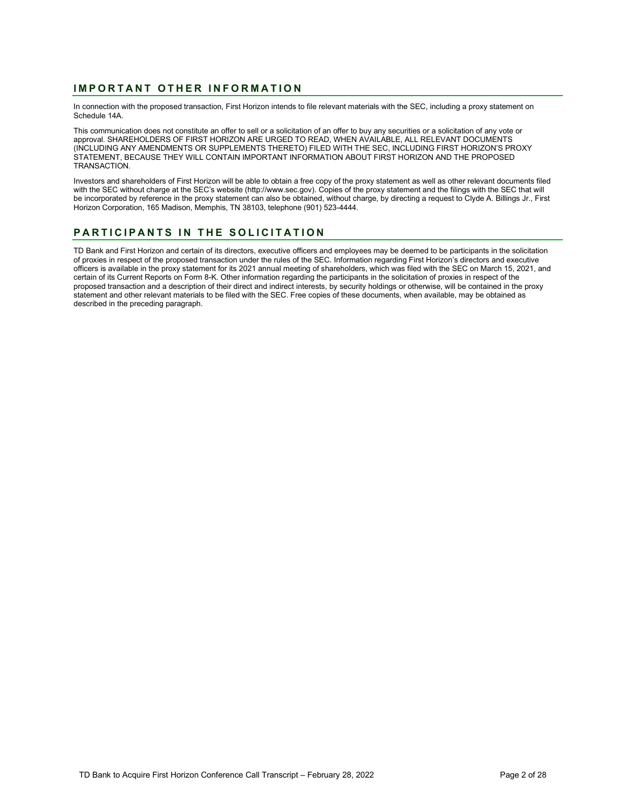# **IMPORTANT OTHER INFORMATION**

In connection with the proposed transaction, First Horizon intends to file relevant materials with the SEC, including a proxy statement on Schedule 14A.

This communication does not constitute an offer to sell or a solicitation of an offer to buy any securities or a solicitation of any vote or approval. SHAREHOLDERS OF FIRST HORIZON ARE URGED TO READ, WHEN AVAILABLE, ALL RELEVANT DOCUMENTS (INCLUDING ANY AMENDMENTS OR SUPPLEMENTS THERETO) FILED WITH THE SEC, INCLUDING FIRST HORIZON'S PROXY STATEMENT, BECAUSE THEY WILL CONTAIN IMPORTANT INFORMATION ABOUT FIRST HORIZON AND THE PROPOSED TRANSACTION.

Investors and shareholders of First Horizon will be able to obtain a free copy of the proxy statement as well as other relevant documents filed with the SEC without charge at the SEC's website [\(http://www.sec.gov](http://www.sec.gov/)). Copies of the proxy statement and the filings with the SEC that will be incorporated by reference in the proxy statement can also be obtained, without charge, by directing a request to Clyde A. Billings Jr., First Horizon Corporation, 165 Madison, Memphis, TN 38103, telephone (901) 523-4444.

# **PART ICIPANTS IN THE SOLICITATION**

TD Bank and First Horizon and certain of its directors, executive officers and employees may be deemed to be participants in the solicitation of proxies in respect of the proposed transaction under the rules of the SEC. Information regarding First Horizon's directors and executive officers is available in the proxy statement for its 2021 annual meeting of shareholders, which was filed with the SEC on March 15, 2021, and certain of its Current Reports on Form 8-K. Other information regarding the participants in the solicitation of proxies in respect of the proposed transaction and a description of their direct and indirect interests, by security holdings or otherwise, will be contained in the proxy statement and other relevant materials to be filed with the SEC. Free copies of these documents, when available, may be obtained as described in the preceding paragraph.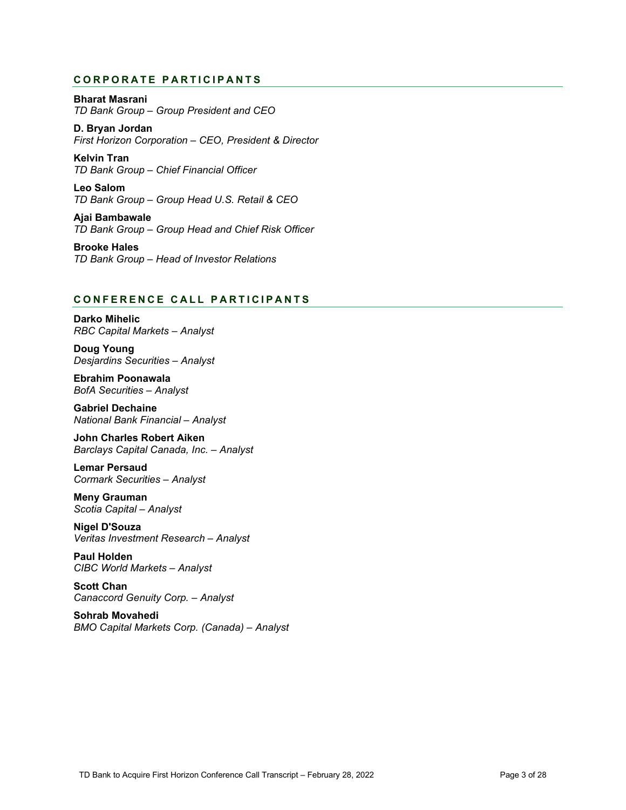# **CORPORATE PARTICIPANTS**

**Bharat Masrani** *TD Bank Group – Group President and CEO*

**D. Bryan Jordan** *First Horizon Corporation – CEO, President & Director*

 *TD Bank Group – Chief Financial Officer* **Kelvin Tran**

**Leo Salom** *TD Bank Group – Group Head U.S. Retail & CEO*

**Ajai Bambawale** *TD Bank Group – Group Head and Chief Risk Officer*

**Brooke Hales** *TD Bank Group – Head of Investor Relations*

# **CONFERENCE C ALL PARTICIPANT S**

**Darko Mihelic** *RBC Capital Markets – Analyst*

**Doug Young** *Desjardins Securities – Analyst*

**Ebrahim Poonawala** *BofA Securities – Analyst*

**Gabriel Dechaine** *National Bank Financial – Analyst*

**John Charles Robert Aiken** *Barclays Capital Canada, Inc. – Analyst*

**Lemar Persaud** *Cormark Securities – Analyst*

**Meny Grauman** *Scotia Capital – Analyst*

**Nigel D'Souza** *Veritas Investment Research – Analyst*

**Paul Holden** *CIBC World Markets – Analyst*

**Scott Chan** *Canaccord Genuity Corp. – Analyst*

**Sohrab Movahedi** *BMO Capital Markets Corp. (Canada) – Analyst*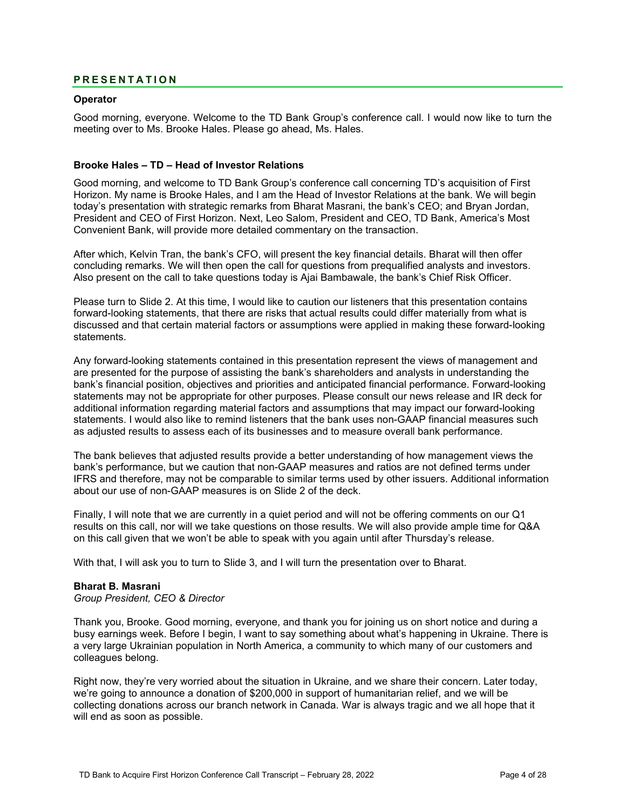# **PRESENTATION**

### **Operator**

Good morning, everyone. Welcome to the TD Bank Group's conference call. I would now like to turn the meeting over to Ms. Brooke Hales. Please go ahead, Ms. Hales.

### **Brooke Hales – TD – Head of Investor Relations**

Good morning, and welcome to TD Bank Group's conference call concerning TD's acquisition of First Horizon. My name is Brooke Hales, and I am the Head of Investor Relations at the bank. We will begin today's presentation with strategic remarks from Bharat Masrani, the bank's CEO; and Bryan Jordan, President and CEO of First Horizon. Next, Leo Salom, President and CEO, TD Bank, America's Most Convenient Bank, will provide more detailed commentary on the transaction.

After which, Kelvin Tran, the bank's CFO, will present the key financial details. Bharat will then offer concluding remarks. We will then open the call for questions from prequalified analysts and investors. Also present on the call to take questions today is Ajai Bambawale, the bank's Chief Risk Officer.

Please turn to Slide 2. At this time, I would like to caution our listeners that this presentation contains forward-looking statements, that there are risks that actual results could differ materially from what is discussed and that certain material factors or assumptions were applied in making these forward-looking statements.

Any forward-looking statements contained in this presentation represent the views of management and are presented for the purpose of assisting the bank's shareholders and analysts in understanding the bank's financial position, objectives and priorities and anticipated financial performance. Forward-looking statements may not be appropriate for other purposes. Please consult our news release and IR deck for additional information regarding material factors and assumptions that may impact our forward-looking statements. I would also like to remind listeners that the bank uses non-GAAP financial measures such as adjusted results to assess each of its businesses and to measure overall bank performance.

The bank believes that adjusted results provide a better understanding of how management views the bank's performance, but we caution that non-GAAP measures and ratios are not defined terms under IFRS and therefore, may not be comparable to similar terms used by other issuers. Additional information about our use of non-GAAP measures is on Slide 2 of the deck.

Finally, I will note that we are currently in a quiet period and will not be offering comments on our Q1 results on this call, nor will we take questions on those results. We will also provide ample time for Q&A on this call given that we won't be able to speak with you again until after Thursday's release.

With that, I will ask you to turn to Slide 3, and I will turn the presentation over to Bharat.

### **Bharat B. Masrani**

*Group President, CEO & Director*

Thank you, Brooke. Good morning, everyone, and thank you for joining us on short notice and during a busy earnings week. Before I begin, I want to say something about what's happening in Ukraine. There is a very large Ukrainian population in North America, a community to which many of our customers and colleagues belong.

Right now, they're very worried about the situation in Ukraine, and we share their concern. Later today, we're going to announce a donation of \$200,000 in support of humanitarian relief, and we will be collecting donations across our branch network in Canada. War is always tragic and we all hope that it will end as soon as possible.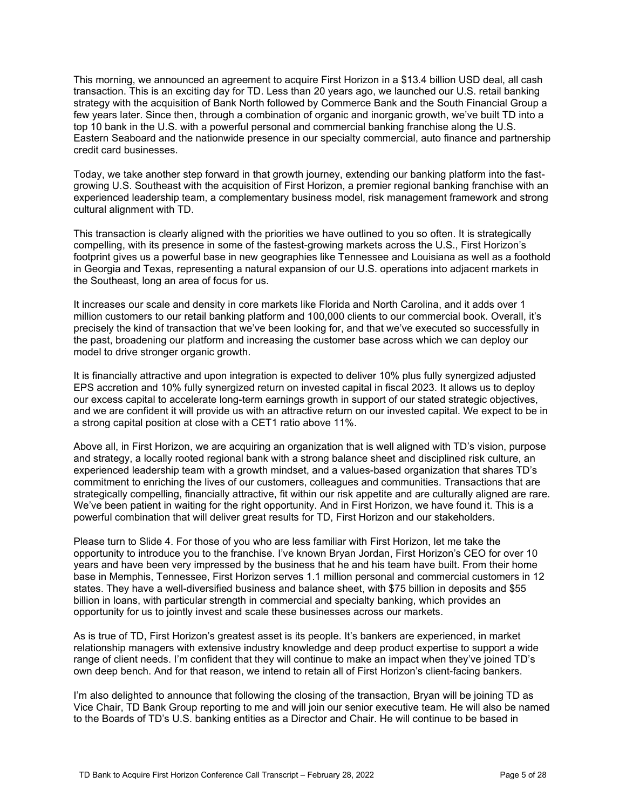This morning, we announced an agreement to acquire First Horizon in a \$13.4 billion USD deal, all cash transaction. This is an exciting day for TD. Less than 20 years ago, we launched our U.S. retail banking strategy with the acquisition of Bank North followed by Commerce Bank and the South Financial Group a few years later. Since then, through a combination of organic and inorganic growth, we've built TD into a top 10 bank in the U.S. with a powerful personal and commercial banking franchise along the U.S. Eastern Seaboard and the nationwide presence in our specialty commercial, auto finance and partnership credit card businesses.

- Today, we take another step forward in that growth journey, extending our banking platform into the fast growing U.S. Southeast with the acquisition of First Horizon, a premier regional banking franchise with an experienced leadership team, a complementary business model, risk management framework and strong cultural alignment with TD.

This transaction is clearly aligned with the priorities we have outlined to you so often. It is strategically compelling, with its presence in some of the fastest-growing markets across the U.S., First Horizon's footprint gives us a powerful base in new geographies like Tennessee and Louisiana as well as a foothold in Georgia and Texas, representing a natural expansion of our U.S. operations into adjacent markets in the Southeast, long an area of focus for us.

It increases our scale and density in core markets like Florida and North Carolina, and it adds over 1 million customers to our retail banking platform and 100,000 clients to our commercial book. Overall, it's precisely the kind of transaction that we've been looking for, and that we've executed so successfully in the past, broadening our platform and increasing the customer base across which we can deploy our model to drive stronger organic growth.

It is financially attractive and upon integration is expected to deliver 10% plus fully synergized adjusted EPS accretion and 10% fully synergized return on invested capital in fiscal 2023. It allows us to deploy our excess capital to accelerate long-term earnings growth in support of our stated strategic objectives, and we are confident it will provide us with an attractive return on our invested capital. We expect to be in a strong capital position at close with a CET1 ratio above 11%.

Above all, in First Horizon, we are acquiring an organization that is well aligned with TD's vision, purpose and strategy, a locally rooted regional bank with a strong balance sheet and disciplined risk culture, an experienced leadership team with a growth mindset, and a values-based organization that shares TD's commitment to enriching the lives of our customers, colleagues and communities. Transactions that are strategically compelling, financially attractive, fit within our risk appetite and are culturally aligned are rare. We've been patient in waiting for the right opportunity. And in First Horizon, we have found it. This is a powerful combination that will deliver great results for TD, First Horizon and our stakeholders.

Please turn to Slide 4. For those of you who are less familiar with First Horizon, let me take the opportunity to introduce you to the franchise. I've known Bryan Jordan, First Horizon's CEO for over 10 years and have been very impressed by the business that he and his team have built. From their home base in Memphis, Tennessee, First Horizon serves 1.1 million personal and commercial customers in 12 states. They have a well-diversified business and balance sheet, with \$75 billion in deposits and \$55 billion in loans, with particular strength in commercial and specialty banking, which provides an opportunity for us to jointly invest and scale these businesses across our markets.

As is true of TD, First Horizon's greatest asset is its people. It's bankers are experienced, in market relationship managers with extensive industry knowledge and deep product expertise to support a wide range of client needs. I'm confident that they will continue to make an impact when they've joined TD's own deep bench. And for that reason, we intend to retain all of First Horizon's client-facing bankers.

I'm also delighted to announce that following the closing of the transaction, Bryan will be joining TD as Vice Chair, TD Bank Group reporting to me and will join our senior executive team. He will also be named to the Boards of TD's U.S. banking entities as a Director and Chair. He will continue to be based in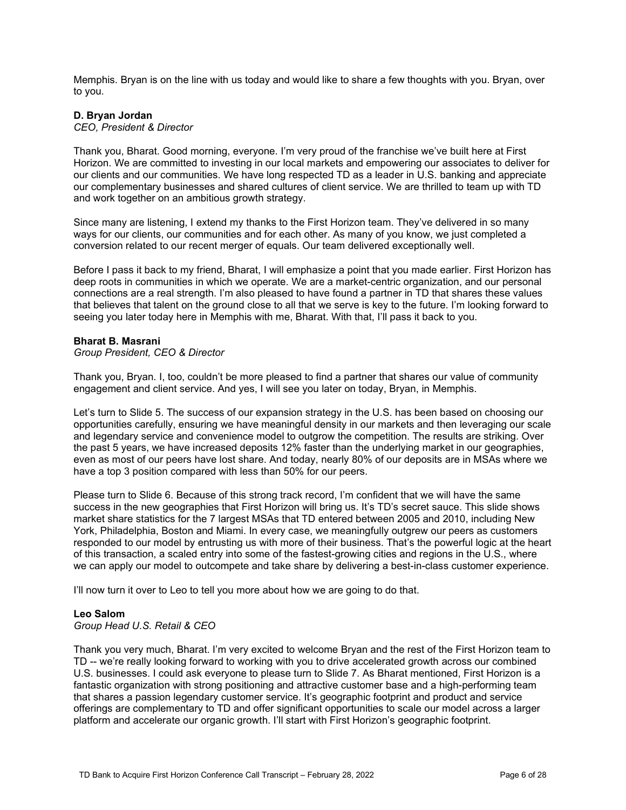Memphis. Bryan is on the line with us today and would like to share a few thoughts with you. Bryan, over to you.

### **D. Bryan Jordan**

*CEO, President & Director*

Thank you, Bharat. Good morning, everyone. I'm very proud of the franchise we've built here at First Horizon. We are committed to investing in our local markets and empowering our associates to deliver for our clients and our communities. We have long respected TD as a leader in U.S. banking and appreciate our complementary businesses and shared cultures of client service. We are thrilled to team up with TD and work together on an ambitious growth strategy.

Since many are listening, I extend my thanks to the First Horizon team. They've delivered in so many ways for our clients, our communities and for each other. As many of you know, we just completed a conversion related to our recent merger of equals. Our team delivered exceptionally well.

Before I pass it back to my friend, Bharat, I will emphasize a point that you made earlier. First Horizon has deep roots in communities in which we operate. We are a market-centric organization, and our personal connections are a real strength. I'm also pleased to have found a partner in TD that shares these values that believes that talent on the ground close to all that we serve is key to the future. I'm looking forward to seeing you later today here in Memphis with me, Bharat. With that, I'll pass it back to you.

### **Bharat B. Masrani**

*Group President, CEO & Director*

Thank you, Bryan. I, too, couldn't be more pleased to find a partner that shares our value of community engagement and client service. And yes, I will see you later on today, Bryan, in Memphis.

Let's turn to Slide 5. The success of our expansion strategy in the U.S. has been based on choosing our opportunities carefully, ensuring we have meaningful density in our markets and then leveraging our scale and legendary service and convenience model to outgrow the competition. The results are striking. Over the past 5 years, we have increased deposits 12% faster than the underlying market in our geographies, even as most of our peers have lost share. And today, nearly 80% of our deposits are in MSAs where we have a top 3 position compared with less than 50% for our peers.

Please turn to Slide 6. Because of this strong track record, I'm confident that we will have the same success in the new geographies that First Horizon will bring us. It's TD's secret sauce. This slide shows market share statistics for the 7 largest MSAs that TD entered between 2005 and 2010, including New York, Philadelphia, Boston and Miami. In every case, we meaningfully outgrew our peers as customers responded to our model by entrusting us with more of their business. That's the powerful logic at the heart of this transaction, a scaled entry into some of the fastest-growing cities and regions in the U.S., where we can apply our model to outcompete and take share by delivering a best-in-class customer experience.

I'll now turn it over to Leo to tell you more about how we are going to do that.

### **Leo Salom**

*Group Head U.S. Retail & CEO*

Thank you very much, Bharat. I'm very excited to welcome Bryan and the rest of the First Horizon team to TD -- we're really looking forward to working with you to drive accelerated growth across our combined U.S. businesses. I could ask everyone to please turn to Slide 7. As Bharat mentioned, First Horizon is a fantastic organization with strong positioning and attractive customer base and a high-performing team that shares a passion legendary customer service. It's geographic footprint and product and service offerings are complementary to TD and offer significant opportunities to scale our model across a larger platform and accelerate our organic growth. I'll start with First Horizon's geographic footprint.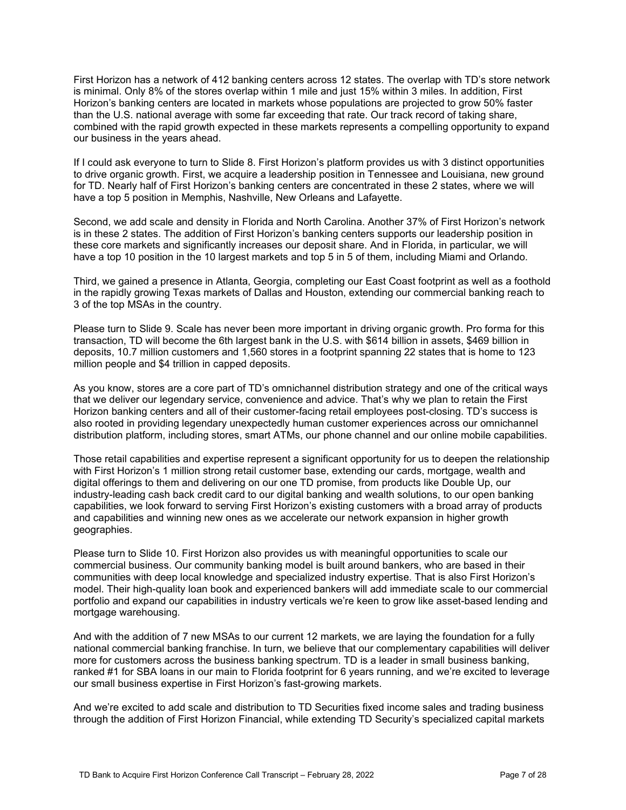First Horizon has a network of 412 banking centers across 12 states. The overlap with TD's store network is minimal. Only 8% of the stores overlap within 1 mile and just 15% within 3 miles. In addition, First Horizon's banking centers are located in markets whose populations are projected to grow 50% faster than the U.S. national average with some far exceeding that rate. Our track record of taking share, combined with the rapid growth expected in these markets represents a compelling opportunity to expand our business in the years ahead.

If I could ask everyone to turn to Slide 8. First Horizon's platform provides us with 3 distinct opportunities to drive organic growth. First, we acquire a leadership position in Tennessee and Louisiana, new ground for TD. Nearly half of First Horizon's banking centers are concentrated in these 2 states, where we will have a top 5 position in Memphis, Nashville, New Orleans and Lafayette.

Second, we add scale and density in Florida and North Carolina. Another 37% of First Horizon's network is in these 2 states. The addition of First Horizon's banking centers supports our leadership position in these core markets and significantly increases our deposit share. And in Florida, in particular, we will have a top 10 position in the 10 largest markets and top 5 in 5 of them, including Miami and Orlando.

Third, we gained a presence in Atlanta, Georgia, completing our East Coast footprint as well as a foothold in the rapidly growing Texas markets of Dallas and Houston, extending our commercial banking reach to 3 of the top MSAs in the country.

Please turn to Slide 9. Scale has never been more important in driving organic growth. Pro forma for this transaction, TD will become the 6th largest bank in the U.S. with \$614 billion in assets, \$469 billion in deposits, 10.7 million customers and 1,560 stores in a footprint spanning 22 states that is home to 123 million people and \$4 trillion in capped deposits.

As you know, stores are a core part of TD's omnichannel distribution strategy and one of the critical ways that we deliver our legendary service, convenience and advice. That's why we plan to retain the First Horizon banking centers and all of their customer-facing retail employees post-closing. TD's success is also rooted in providing legendary unexpectedly human customer experiences across our omnichannel distribution platform, including stores, smart ATMs, our phone channel and our online mobile capabilities.

Those retail capabilities and expertise represent a significant opportunity for us to deepen the relationship with First Horizon's 1 million strong retail customer base, extending our cards, mortgage, wealth and digital offerings to them and delivering on our one TD promise, from products like Double Up, our industry-leading cash back credit card to our digital banking and wealth solutions, to our open banking capabilities, we look forward to serving First Horizon's existing customers with a broad array of products and capabilities and winning new ones as we accelerate our network expansion in higher growth geographies.

Please turn to Slide 10. First Horizon also provides us with meaningful opportunities to scale our commercial business. Our community banking model is built around bankers, who are based in their communities with deep local knowledge and specialized industry expertise. That is also First Horizon's model. Their high-quality loan book and experienced bankers will add immediate scale to our commercial portfolio and expand our capabilities in industry verticals we're keen to grow like asset-based lending and mortgage warehousing.

And with the addition of 7 new MSAs to our current 12 markets, we are laying the foundation for a fully national commercial banking franchise. In turn, we believe that our complementary capabilities will deliver more for customers across the business banking spectrum. TD is a leader in small business banking, ranked #1 for SBA loans in our main to Florida footprint for 6 years running, and we're excited to leverage our small business expertise in First Horizon's fast-growing markets.

And we're excited to add scale and distribution to TD Securities fixed income sales and trading business through the addition of First Horizon Financial, while extending TD Security's specialized capital markets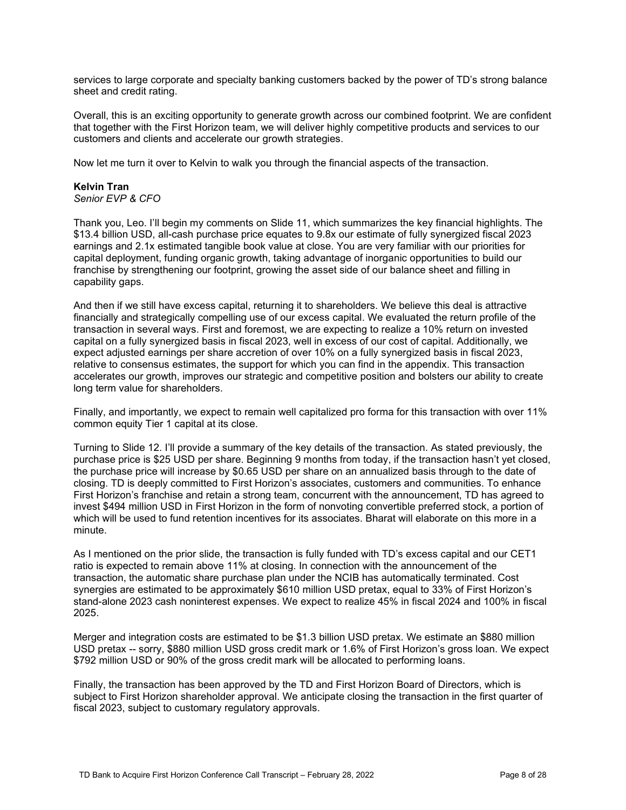services to large corporate and specialty banking customers backed by the power of TD's strong balance sheet and credit rating.

Overall, this is an exciting opportunity to generate growth across our combined footprint. We are confident that together with the First Horizon team, we will deliver highly competitive products and services to our customers and clients and accelerate our growth strategies.

Now let me turn it over to Kelvin to walk you through the financial aspects of the transaction.

# **Kelvin Tran**

*Senior EVP & CFO*

Thank you, Leo. I'll begin my comments on Slide 11, which summarizes the key financial highlights. The \$13.4 billion USD, all-cash purchase price equates to 9.8x our estimate of fully synergized fiscal 2023 earnings and 2.1x estimated tangible book value at close. You are very familiar with our priorities for capital deployment, funding organic growth, taking advantage of inorganic opportunities to build our franchise by strengthening our footprint, growing the asset side of our balance sheet and filling in capability gaps.

And then if we still have excess capital, returning it to shareholders. We believe this deal is attractive financially and strategically compelling use of our excess capital. We evaluated the return profile of the transaction in several ways. First and foremost, we are expecting to realize a 10% return on invested capital on a fully synergized basis in fiscal 2023, well in excess of our cost of capital. Additionally, we expect adjusted earnings per share accretion of over 10% on a fully synergized basis in fiscal 2023, relative to consensus estimates, the support for which you can find in the appendix. This transaction accelerates our growth, improves our strategic and competitive position and bolsters our ability to create long term value for shareholders.

Finally, and importantly, we expect to remain well capitalized pro forma for this transaction with over 11% common equity Tier 1 capital at its close.

Turning to Slide 12. I'll provide a summary of the key details of the transaction. As stated previously, the purchase price is \$25 USD per share. Beginning 9 months from today, if the transaction hasn't yet closed, the purchase price will increase by \$0.65 USD per share on an annualized basis through to the date of closing. TD is deeply committed to First Horizon's associates, customers and communities. To enhance First Horizon's franchise and retain a strong team, concurrent with the announcement, TD has agreed to invest \$494 million USD in First Horizon in the form of nonvoting convertible preferred stock, a portion of which will be used to fund retention incentives for its associates. Bharat will elaborate on this more in a minute.

As I mentioned on the prior slide, the transaction is fully funded with TD's excess capital and our CET1 ratio is expected to remain above 11% at closing. In connection with the announcement of the transaction, the automatic share purchase plan under the NCIB has automatically terminated. Cost synergies are estimated to be approximately \$610 million USD pretax, equal to 33% of First Horizon's stand-alone 2023 cash noninterest expenses. We expect to realize 45% in fiscal 2024 and 100% in fiscal 2025.

Merger and integration costs are estimated to be \$1.3 billion USD pretax. We estimate an \$880 million USD pretax -- sorry, \$880 million USD gross credit mark or 1.6% of First Horizon's gross loan. We expect \$792 million USD or 90% of the gross credit mark will be allocated to performing loans.

Finally, the transaction has been approved by the TD and First Horizon Board of Directors, which is subject to First Horizon shareholder approval. We anticipate closing the transaction in the first quarter of fiscal 2023, subject to customary regulatory approvals.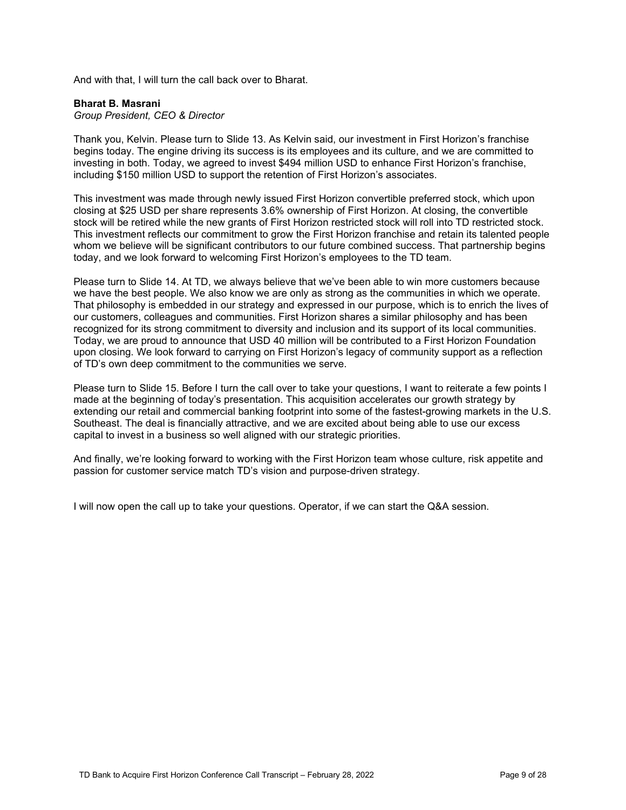And with that, I will turn the call back over to Bharat.

### **Bharat B. Masrani**

*Group President, CEO & Director*

Thank you, Kelvin. Please turn to Slide 13. As Kelvin said, our investment in First Horizon's franchise begins today. The engine driving its success is its employees and its culture, and we are committed to investing in both. Today, we agreed to invest \$494 million USD to enhance First Horizon's franchise, including \$150 million USD to support the retention of First Horizon's associates.

This investment was made through newly issued First Horizon convertible preferred stock, which upon closing at \$25 USD per share represents 3.6% ownership of First Horizon. At closing, the convertible stock will be retired while the new grants of First Horizon restricted stock will roll into TD restricted stock. This investment reflects our commitment to grow the First Horizon franchise and retain its talented people whom we believe will be significant contributors to our future combined success. That partnership begins today, and we look forward to welcoming First Horizon's employees to the TD team.

Please turn to Slide 14. At TD, we always believe that we've been able to win more customers because we have the best people. We also know we are only as strong as the communities in which we operate. That philosophy is embedded in our strategy and expressed in our purpose, which is to enrich the lives of our customers, colleagues and communities. First Horizon shares a similar philosophy and has been recognized for its strong commitment to diversity and inclusion and its support of its local communities. Today, we are proud to announce that USD 40 million will be contributed to a First Horizon Foundation upon closing. We look forward to carrying on First Horizon's legacy of community support as a reflection of TD's own deep commitment to the communities we serve.

Please turn to Slide 15. Before I turn the call over to take your questions, I want to reiterate a few points I made at the beginning of today's presentation. This acquisition accelerates our growth strategy by extending our retail and commercial banking footprint into some of the fastest-growing markets in the U.S. Southeast. The deal is financially attractive, and we are excited about being able to use our excess capital to invest in a business so well aligned with our strategic priorities.

And finally, we're looking forward to working with the First Horizon team whose culture, risk appetite and passion for customer service match TD's vision and purpose-driven strategy.

I will now open the call up to take your questions. Operator, if we can start the Q&A session.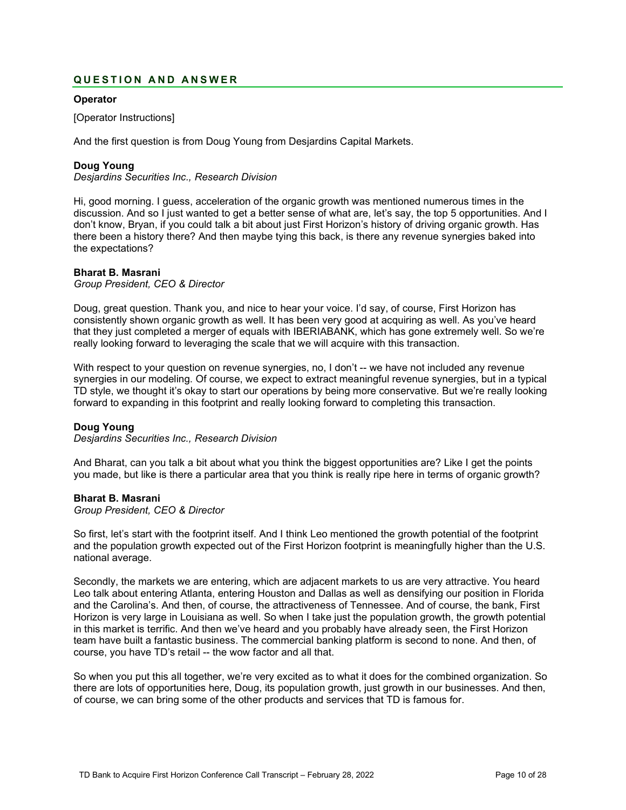# **QUESTION AND ANSWER**

# **Operator**

[Operator Instructions]

And the first question is from Doug Young from Desjardins Capital Markets.

### **Doug Young**

*Desjardins Securities Inc., Research Division*

Hi, good morning. I guess, acceleration of the organic growth was mentioned numerous times in the discussion. And so I just wanted to get a better sense of what are, let's say, the top 5 opportunities. And I don't know, Bryan, if you could talk a bit about just First Horizon's history of driving organic growth. Has there been a history there? And then maybe tying this back, is there any revenue synergies baked into the expectations?

### **Bharat B. Masrani**

*Group President, CEO & Director*

Doug, great question. Thank you, and nice to hear your voice. I'd say, of course, First Horizon has consistently shown organic growth as well. It has been very good at acquiring as well. As you've heard that they just completed a merger of equals with IBERIABANK, which has gone extremely well. So we're really looking forward to leveraging the scale that we will acquire with this transaction.

With respect to your question on revenue synergies, no, I don't -- we have not included any revenue synergies in our modeling. Of course, we expect to extract meaningful revenue synergies, but in a typical TD style, we thought it's okay to start our operations by being more conservative. But we're really looking forward to expanding in this footprint and really looking forward to completing this transaction.

### **Doug Young**

*Desjardins Securities Inc., Research Division*

And Bharat, can you talk a bit about what you think the biggest opportunities are? Like I get the points you made, but like is there a particular area that you think is really ripe here in terms of organic growth?

### **Bharat B. Masrani**

*Group President, CEO & Director*

So first, let's start with the footprint itself. And I think Leo mentioned the growth potential of the footprint and the population growth expected out of the First Horizon footprint is meaningfully higher than the U.S. national average.

Secondly, the markets we are entering, which are adjacent markets to us are very attractive. You heard Leo talk about entering Atlanta, entering Houston and Dallas as well as densifying our position in Florida and the Carolina's. And then, of course, the attractiveness of Tennessee. And of course, the bank, First Horizon is very large in Louisiana as well. So when I take just the population growth, the growth potential in this market is terrific. And then we've heard and you probably have already seen, the First Horizon team have built a fantastic business. The commercial banking platform is second to none. And then, of course, you have TD's retail -- the wow factor and all that.

So when you put this all together, we're very excited as to what it does for the combined organization. So there are lots of opportunities here, Doug, its population growth, just growth in our businesses. And then, of course, we can bring some of the other products and services that TD is famous for.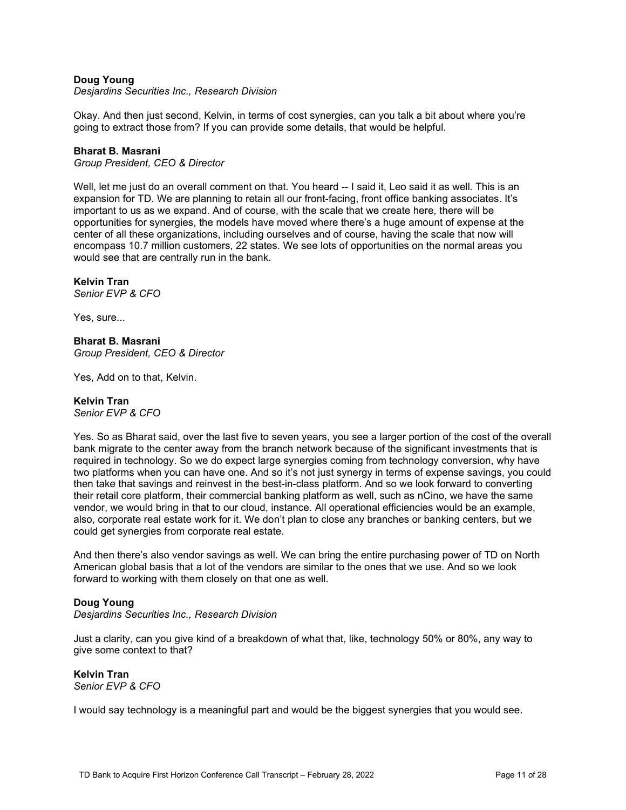# **Doug Young**

*Desjardins Securities Inc., Research Division*

Okay. And then just second, Kelvin, in terms of cost synergies, can you talk a bit about where you're going to extract those from? If you can provide some details, that would be helpful.

### **Bharat B. Masrani**

*Group President, CEO & Director*

Well, let me just do an overall comment on that. You heard -- I said it, Leo said it as well. This is an expansion for TD. We are planning to retain all our front-facing, front office banking associates. It's important to us as we expand. And of course, with the scale that we create here, there will be opportunities for synergies, the models have moved where there's a huge amount of expense at the center of all these organizations, including ourselves and of course, having the scale that now will encompass 10.7 million customers, 22 states. We see lots of opportunities on the normal areas you would see that are centrally run in the bank.

# **Kelvin Tran**

*Senior EVP & CFO*

Yes, sure...

**Bharat B. Masrani** *Group President, CEO & Director*

Yes, Add on to that, Kelvin.

# **Kelvin Tran**

*Senior EVP & CFO*

Yes. So as Bharat said, over the last five to seven years, you see a larger portion of the cost of the overall bank migrate to the center away from the branch network because of the significant investments that is required in technology. So we do expect large synergies coming from technology conversion, why have two platforms when you can have one. And so it's not just synergy in terms of expense savings, you could then take that savings and reinvest in the best-in-class platform. And so we look forward to converting their retail core platform, their commercial banking platform as well, such as nCino, we have the same vendor, we would bring in that to our cloud, instance. All operational efficiencies would be an example, also, corporate real estate work for it. We don't plan to close any branches or banking centers, but we could get synergies from corporate real estate.

And then there's also vendor savings as well. We can bring the entire purchasing power of TD on North American global basis that a lot of the vendors are similar to the ones that we use. And so we look forward to working with them closely on that one as well.

### **Doug Young**

*Desjardins Securities Inc., Research Division*

Just a clarity, can you give kind of a breakdown of what that, like, technology 50% or 80%, any way to give some context to that?

**Kelvin Tran** *Senior EVP & CFO*

I would say technology is a meaningful part and would be the biggest synergies that you would see.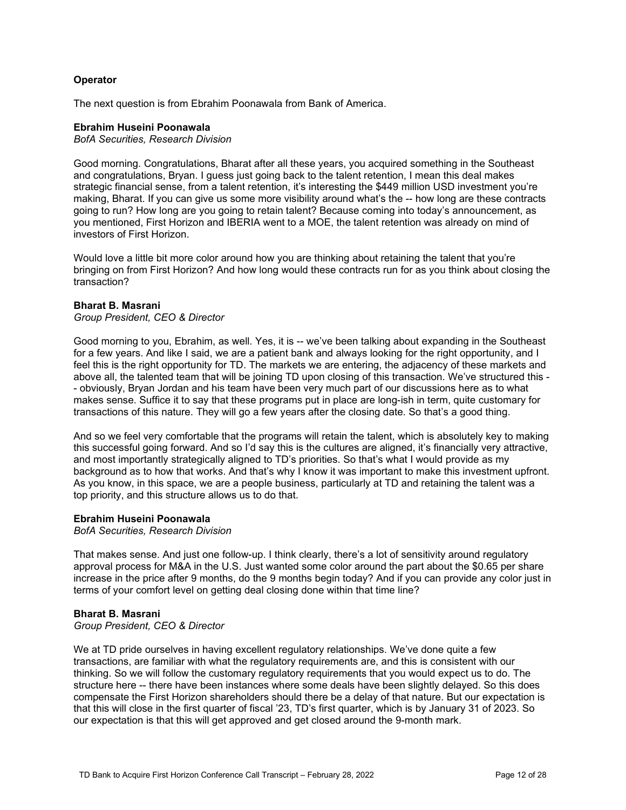# **Operator**

The next question is from Ebrahim Poonawala from Bank of America.

### **Ebrahim Huseini Poonawala**

*BofA Securities, Research Division*

Good morning. Congratulations, Bharat after all these years, you acquired something in the Southeast and congratulations, Bryan. I guess just going back to the talent retention, I mean this deal makes strategic financial sense, from a talent retention, it's interesting the \$449 million USD investment you're making, Bharat. If you can give us some more visibility around what's the -- how long are these contracts going to run? How long are you going to retain talent? Because coming into today's announcement, as you mentioned, First Horizon and IBERIA went to a MOE, the talent retention was already on mind of investors of First Horizon.

Would love a little bit more color around how you are thinking about retaining the talent that you're bringing on from First Horizon? And how long would these contracts run for as you think about closing the transaction?

### **Bharat B. Masrani**

*Group President, CEO & Director*

- above all, the talented team that will be joining TD upon closing of this transaction. We've structured this Good morning to you, Ebrahim, as well. Yes, it is -- we've been talking about expanding in the Southeast for a few years. And like I said, we are a patient bank and always looking for the right opportunity, and I feel this is the right opportunity for TD. The markets we are entering, the adjacency of these markets and - obviously, Bryan Jordan and his team have been very much part of our discussions here as to what makes sense. Suffice it to say that these programs put in place are long-ish in term, quite customary for transactions of this nature. They will go a few years after the closing date. So that's a good thing.

And so we feel very comfortable that the programs will retain the talent, which is absolutely key to making this successful going forward. And so I'd say this is the cultures are aligned, it's financially very attractive, and most importantly strategically aligned to TD's priorities. So that's what I would provide as my background as to how that works. And that's why I know it was important to make this investment upfront. As you know, in this space, we are a people business, particularly at TD and retaining the talent was a top priority, and this structure allows us to do that.

### **Ebrahim Huseini Poonawala**

*BofA Securities, Research Division*

That makes sense. And just one follow-up. I think clearly, there's a lot of sensitivity around regulatory approval process for M&A in the U.S. Just wanted some color around the part about the \$0.65 per share increase in the price after 9 months, do the 9 months begin today? And if you can provide any color just in terms of your comfort level on getting deal closing done within that time line?

### **Bharat B. Masrani**

*Group President, CEO & Director*

We at TD pride ourselves in having excellent regulatory relationships. We've done quite a few transactions, are familiar with what the regulatory requirements are, and this is consistent with our thinking. So we will follow the customary regulatory requirements that you would expect us to do. The structure here -- there have been instances where some deals have been slightly delayed. So this does compensate the First Horizon shareholders should there be a delay of that nature. But our expectation is that this will close in the first quarter of fiscal '23, TD's first quarter, which is by January 31 of 2023. So our expectation is that this will get approved and get closed around the 9-month mark.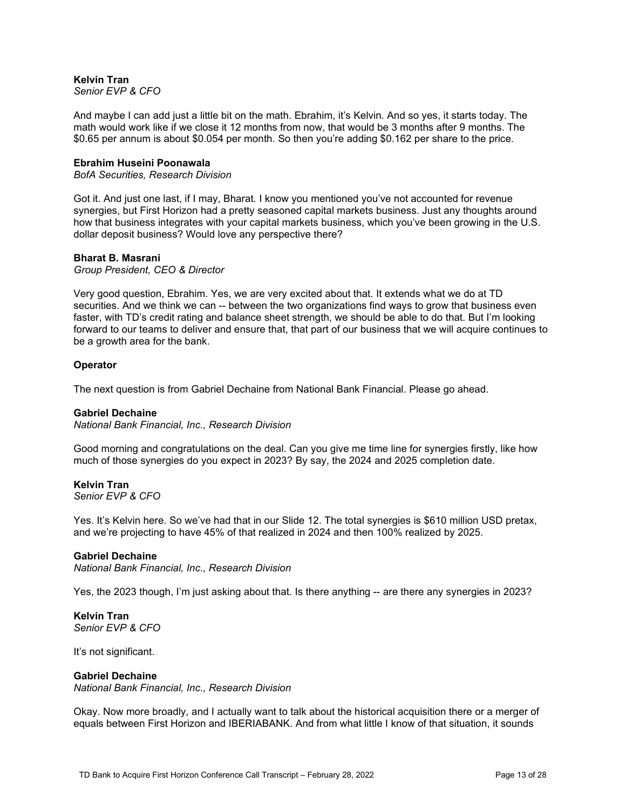#### **Kelvin Tran** *Senior EVP & CFO*

And maybe I can add just a little bit on the math. Ebrahim, it's Kelvin. And so yes, it starts today. The math would work like if we close it 12 months from now, that would be 3 months after 9 months. The \$0.65 per annum is about \$0.054 per month. So then you're adding \$0.162 per share to the price.

### **Ebrahim Huseini Poonawala**

*BofA Securities, Research Division*

Got it. And just one last, if I may, Bharat. I know you mentioned you've not accounted for revenue synergies, but First Horizon had a pretty seasoned capital markets business. Just any thoughts around how that business integrates with your capital markets business, which you've been growing in the U.S. dollar deposit business? Would love any perspective there?

### **Bharat B. Masrani**

*Group President, CEO & Director*

Very good question, Ebrahim. Yes, we are very excited about that. It extends what we do at TD securities. And we think we can -- between the two organizations find ways to grow that business even faster, with TD's credit rating and balance sheet strength, we should be able to do that. But I'm looking forward to our teams to deliver and ensure that, that part of our business that we will acquire continues to be a growth area for the bank.

### **Operator**

The next question is from Gabriel Dechaine from National Bank Financial. Please go ahead.

#### **Gabriel Dechaine**

*National Bank Financial, Inc., Research Division*

Good morning and congratulations on the deal. Can you give me time line for synergies firstly, like how much of those synergies do you expect in 2023? By say, the 2024 and 2025 completion date.

### **Kelvin Tran**

*Senior EVP & CFO*

Yes. It's Kelvin here. So we've had that in our Slide 12. The total synergies is \$610 million USD pretax, and we're projecting to have 45% of that realized in 2024 and then 100% realized by 2025.

#### **Gabriel Dechaine**

*National Bank Financial, Inc., Research Division*

Yes, the 2023 though, I'm just asking about that. Is there anything -- are there any synergies in 2023?

# **Kelvin Tran**

*Senior EVP & CFO*

It's not significant.

#### **Gabriel Dechaine**

*National Bank Financial, Inc., Research Division*

Okay. Now more broadly, and I actually want to talk about the historical acquisition there or a merger of equals between First Horizon and IBERIABANK. And from what little I know of that situation, it sounds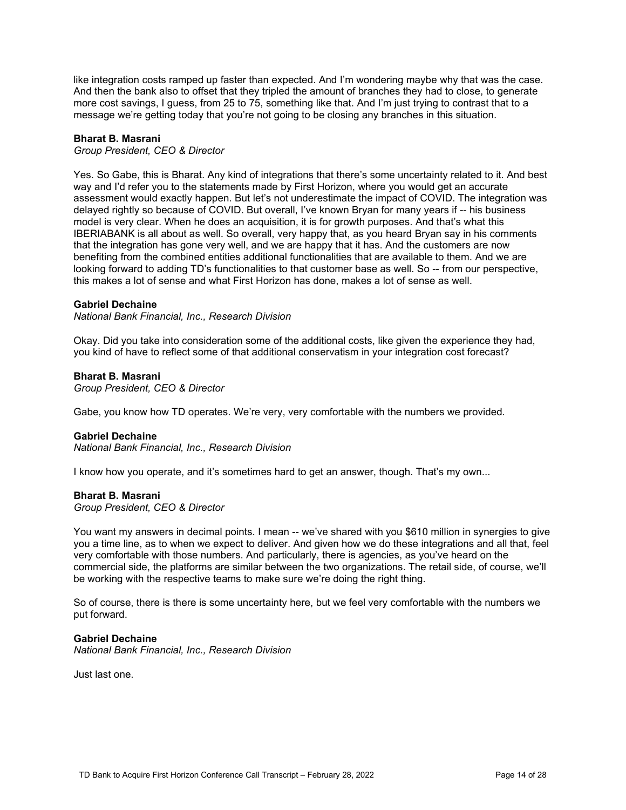like integration costs ramped up faster than expected. And I'm wondering maybe why that was the case. And then the bank also to offset that they tripled the amount of branches they had to close, to generate more cost savings, I guess, from 25 to 75, something like that. And I'm just trying to contrast that to a message we're getting today that you're not going to be closing any branches in this situation.

### **Bharat B. Masrani**

*Group President, CEO & Director*

Yes. So Gabe, this is Bharat. Any kind of integrations that there's some uncertainty related to it. And best way and I'd refer you to the statements made by First Horizon, where you would get an accurate assessment would exactly happen. But let's not underestimate the impact of COVID. The integration was delayed rightly so because of COVID. But overall, I've known Bryan for many years if -- his business model is very clear. When he does an acquisition, it is for growth purposes. And that's what this IBERIABANK is all about as well. So overall, very happy that, as you heard Bryan say in his comments that the integration has gone very well, and we are happy that it has. And the customers are now benefiting from the combined entities additional functionalities that are available to them. And we are looking forward to adding TD's functionalities to that customer base as well. So -- from our perspective, this makes a lot of sense and what First Horizon has done, makes a lot of sense as well.

### **Gabriel Dechaine**

*National Bank Financial, Inc., Research Division*

Okay. Did you take into consideration some of the additional costs, like given the experience they had, you kind of have to reflect some of that additional conservatism in your integration cost forecast?

### **Bharat B. Masrani**

*Group President, CEO & Director*

Gabe, you know how TD operates. We're very, very comfortable with the numbers we provided.

#### **Gabriel Dechaine**

*National Bank Financial, Inc., Research Division*

I know how you operate, and it's sometimes hard to get an answer, though. That's my own...

#### **Bharat B. Masrani**

*Group President, CEO & Director*

You want my answers in decimal points. I mean -- we've shared with you \$610 million in synergies to give you a time line, as to when we expect to deliver. And given how we do these integrations and all that, feel very comfortable with those numbers. And particularly, there is agencies, as you've heard on the commercial side, the platforms are similar between the two organizations. The retail side, of course, we'll be working with the respective teams to make sure we're doing the right thing.

So of course, there is there is some uncertainty here, but we feel very comfortable with the numbers we put forward.

#### **Gabriel Dechaine**

*National Bank Financial, Inc., Research Division*

Just last one.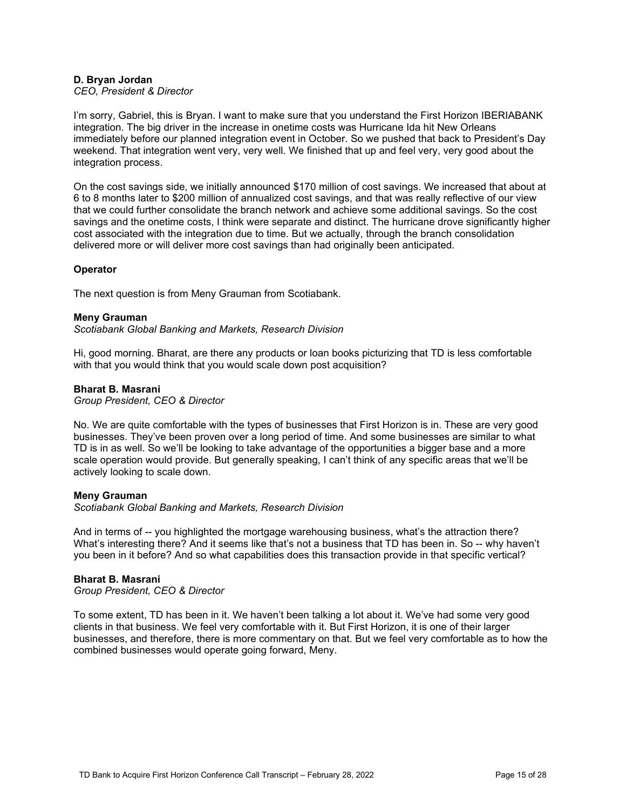# **D. Bryan Jordan**

### *CEO, President & Director*

I'm sorry, Gabriel, this is Bryan. I want to make sure that you understand the First Horizon IBERIABANK integration. The big driver in the increase in onetime costs was Hurricane Ida hit New Orleans immediately before our planned integration event in October. So we pushed that back to President's Day weekend. That integration went very, very well. We finished that up and feel very, very good about the integration process.

On the cost savings side, we initially announced \$170 million of cost savings. We increased that about at 6 to 8 months later to \$200 million of annualized cost savings, and that was really reflective of our view that we could further consolidate the branch network and achieve some additional savings. So the cost savings and the onetime costs, I think were separate and distinct. The hurricane drove significantly higher cost associated with the integration due to time. But we actually, through the branch consolidation delivered more or will deliver more cost savings than had originally been anticipated.

### **Operator**

The next question is from Meny Grauman from Scotiabank.

### **Meny Grauman**

*Scotiabank Global Banking and Markets, Research Division*

Hi, good morning. Bharat, are there any products or loan books picturizing that TD is less comfortable with that you would think that you would scale down post acquisition?

### **Bharat B. Masrani**

*Group President, CEO & Director*

No. We are quite comfortable with the types of businesses that First Horizon is in. These are very good businesses. They've been proven over a long period of time. And some businesses are similar to what TD is in as well. So we'll be looking to take advantage of the opportunities a bigger base and a more scale operation would provide. But generally speaking, I can't think of any specific areas that we'll be actively looking to scale down.

#### **Meny Grauman**

*Scotiabank Global Banking and Markets, Research Division*

And in terms of -- you highlighted the mortgage warehousing business, what's the attraction there? What's interesting there? And it seems like that's not a business that TD has been in. So -- why haven't you been in it before? And so what capabilities does this transaction provide in that specific vertical?

### **Bharat B. Masrani**

*Group President, CEO & Director*

To some extent, TD has been in it. We haven't been talking a lot about it. We've had some very good clients in that business. We feel very comfortable with it. But First Horizon, it is one of their larger businesses, and therefore, there is more commentary on that. But we feel very comfortable as to how the combined businesses would operate going forward, Meny.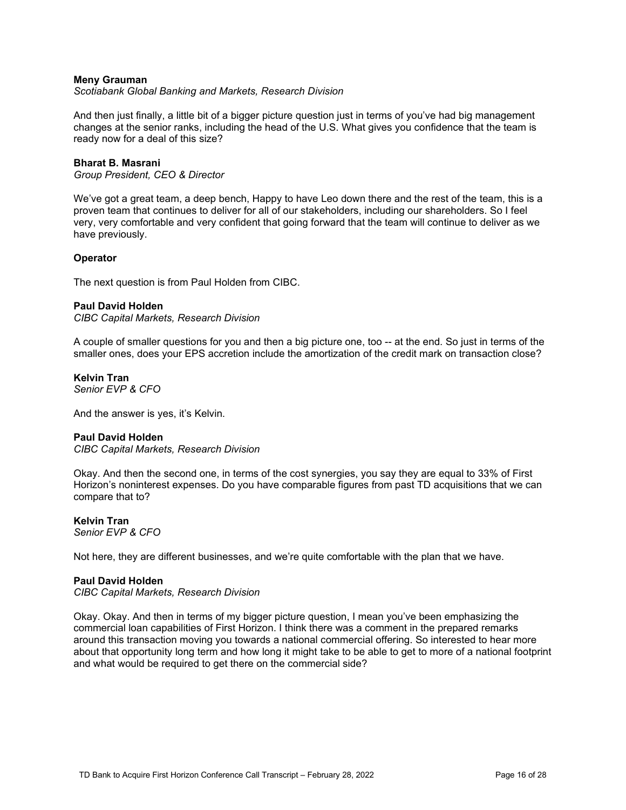### **Meny Grauman**

*Scotiabank Global Banking and Markets, Research Division*

And then just finally, a little bit of a bigger picture question just in terms of you've had big management changes at the senior ranks, including the head of the U.S. What gives you confidence that the team is ready now for a deal of this size?

### **Bharat B. Masrani**

*Group President, CEO & Director*

We've got a great team, a deep bench, Happy to have Leo down there and the rest of the team, this is a proven team that continues to deliver for all of our stakeholders, including our shareholders. So I feel very, very comfortable and very confident that going forward that the team will continue to deliver as we have previously.

### **Operator**

The next question is from Paul Holden from CIBC.

#### **Paul David Holden**

*CIBC Capital Markets, Research Division*

A couple of smaller questions for you and then a big picture one, too -- at the end. So just in terms of the smaller ones, does your EPS accretion include the amortization of the credit mark on transaction close?

**Kelvin Tran** *Senior EVP & CFO*

And the answer is yes, it's Kelvin.

#### **Paul David Holden**

*CIBC Capital Markets, Research Division*

Okay. And then the second one, in terms of the cost synergies, you say they are equal to 33% of First Horizon's noninterest expenses. Do you have comparable figures from past TD acquisitions that we can compare that to?

### **Kelvin Tran**

*Senior EVP & CFO*

Not here, they are different businesses, and we're quite comfortable with the plan that we have.

#### **Paul David Holden**

*CIBC Capital Markets, Research Division*

Okay. Okay. And then in terms of my bigger picture question, I mean you've been emphasizing the commercial loan capabilities of First Horizon. I think there was a comment in the prepared remarks around this transaction moving you towards a national commercial offering. So interested to hear more about that opportunity long term and how long it might take to be able to get to more of a national footprint and what would be required to get there on the commercial side?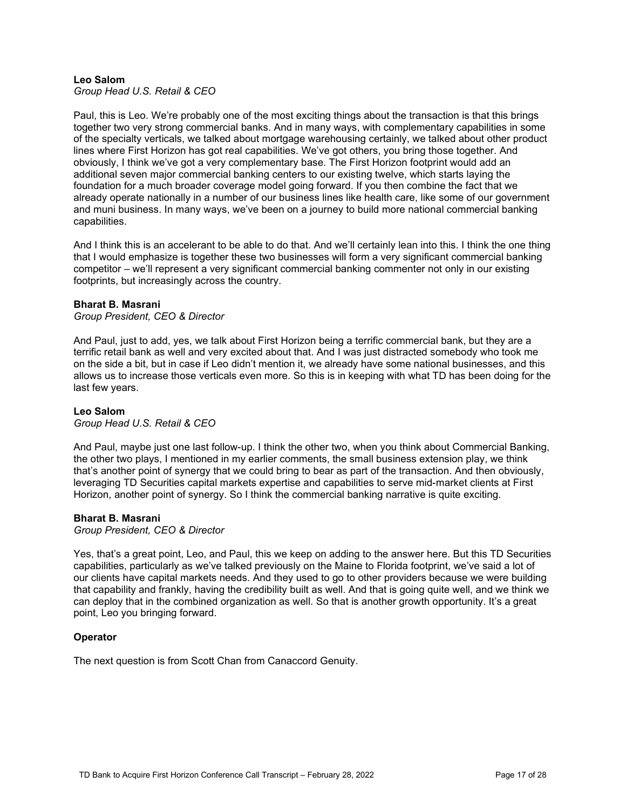# **Leo Salom**

*Group Head U.S. Retail & CEO*

Paul, this is Leo. We're probably one of the most exciting things about the transaction is that this brings together two very strong commercial banks. And in many ways, with complementary capabilities in some of the specialty verticals, we talked about mortgage warehousing certainly, we talked about other product lines where First Horizon has got real capabilities. We've got others, you bring those together. And obviously, I think we've got a very complementary base. The First Horizon footprint would add an additional seven major commercial banking centers to our existing twelve, which starts laying the foundation for a much broader coverage model going forward. If you then combine the fact that we already operate nationally in a number of our business lines like health care, like some of our government and muni business. In many ways, we've been on a journey to build more national commercial banking capabilities.

And I think this is an accelerant to be able to do that. And we'll certainly lean into this. I think the one thing that I would emphasize is together these two businesses will form a very significant commercial banking competitor – we'll represent a very significant commercial banking commenter not only in our existing footprints, but increasingly across the country.

### **Bharat B. Masrani**

*Group President, CEO & Director*

And Paul, just to add, yes, we talk about First Horizon being a terrific commercial bank, but they are a terrific retail bank as well and very excited about that. And I was just distracted somebody who took me on the side a bit, but in case if Leo didn't mention it, we already have some national businesses, and this allows us to increase those verticals even more. So this is in keeping with what TD has been doing for the last few years.

### **Leo Salom**

*Group Head U.S. Retail & CEO*

And Paul, maybe just one last follow-up. I think the other two, when you think about Commercial Banking, the other two plays, I mentioned in my earlier comments, the small business extension play, we think that's another point of synergy that we could bring to bear as part of the transaction. And then obviously, leveraging TD Securities capital markets expertise and capabilities to serve mid-market clients at First Horizon, another point of synergy. So I think the commercial banking narrative is quite exciting.

### **Bharat B. Masrani**

*Group President, CEO & Director*

Yes, that's a great point, Leo, and Paul, this we keep on adding to the answer here. But this TD Securities capabilities, particularly as we've talked previously on the Maine to Florida footprint, we've said a lot of our clients have capital markets needs. And they used to go to other providers because we were building that capability and frankly, having the credibility built as well. And that is going quite well, and we think we can deploy that in the combined organization as well. So that is another growth opportunity. It's a great point, Leo you bringing forward.

### **Operator**

The next question is from Scott Chan from Canaccord Genuity.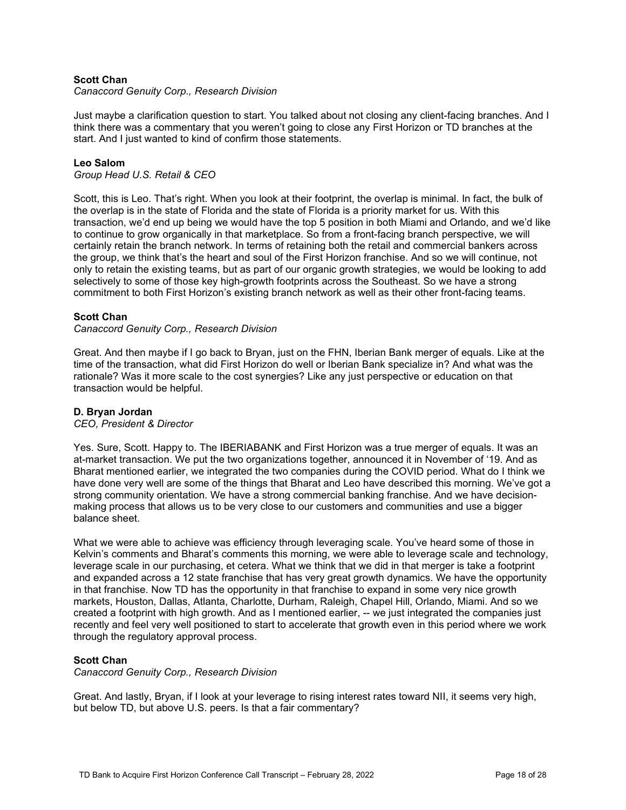# **Scott Chan**

*Canaccord Genuity Corp., Research Division*

Just maybe a clarification question to start. You talked about not closing any client-facing branches. And I think there was a commentary that you weren't going to close any First Horizon or TD branches at the start. And I just wanted to kind of confirm those statements.

### **Leo Salom**

*Group Head U.S. Retail & CEO*

Scott, this is Leo. That's right. When you look at their footprint, the overlap is minimal. In fact, the bulk of the overlap is in the state of Florida and the state of Florida is a priority market for us. With this transaction, we'd end up being we would have the top 5 position in both Miami and Orlando, and we'd like to continue to grow organically in that marketplace. So from a front-facing branch perspective, we will certainly retain the branch network. In terms of retaining both the retail and commercial bankers across the group, we think that's the heart and soul of the First Horizon franchise. And so we will continue, not only to retain the existing teams, but as part of our organic growth strategies, we would be looking to add selectively to some of those key high-growth footprints across the Southeast. So we have a strong commitment to both First Horizon's existing branch network as well as their other front-facing teams.

### **Scott Chan**

### *Canaccord Genuity Corp., Research Division*

Great. And then maybe if I go back to Bryan, just on the FHN, Iberian Bank merger of equals. Like at the time of the transaction, what did First Horizon do well or Iberian Bank specialize in? And what was the rationale? Was it more scale to the cost synergies? Like any just perspective or education on that transaction would be helpful.

### **D. Bryan Jordan**

### *CEO, President & Director*

Yes. Sure, Scott. Happy to. The IBERIABANK and First Horizon was a true merger of equals. It was an at-market transaction. We put the two organizations together, announced it in November of '19. And as Bharat mentioned earlier, we integrated the two companies during the COVID period. What do I think we have done very well are some of the things that Bharat and Leo have described this morning. We've got a strong community orientation. We have a strong commercial banking franchise. And we have decisionmaking process that allows us to be very close to our customers and communities and use a bigger balance sheet.

What we were able to achieve was efficiency through leveraging scale. You've heard some of those in Kelvin's comments and Bharat's comments this morning, we were able to leverage scale and technology, leverage scale in our purchasing, et cetera. What we think that we did in that merger is take a footprint and expanded across a 12 state franchise that has very great growth dynamics. We have the opportunity in that franchise. Now TD has the opportunity in that franchise to expand in some very nice growth markets, Houston, Dallas, Atlanta, Charlotte, Durham, Raleigh, Chapel Hill, Orlando, Miami. And so we created a footprint with high growth. And as I mentioned earlier, -- we just integrated the companies just recently and feel very well positioned to start to accelerate that growth even in this period where we work through the regulatory approval process.

### **Scott Chan**

*Canaccord Genuity Corp., Research Division*

Great. And lastly, Bryan, if I look at your leverage to rising interest rates toward NII, it seems very high, but below TD, but above U.S. peers. Is that a fair commentary?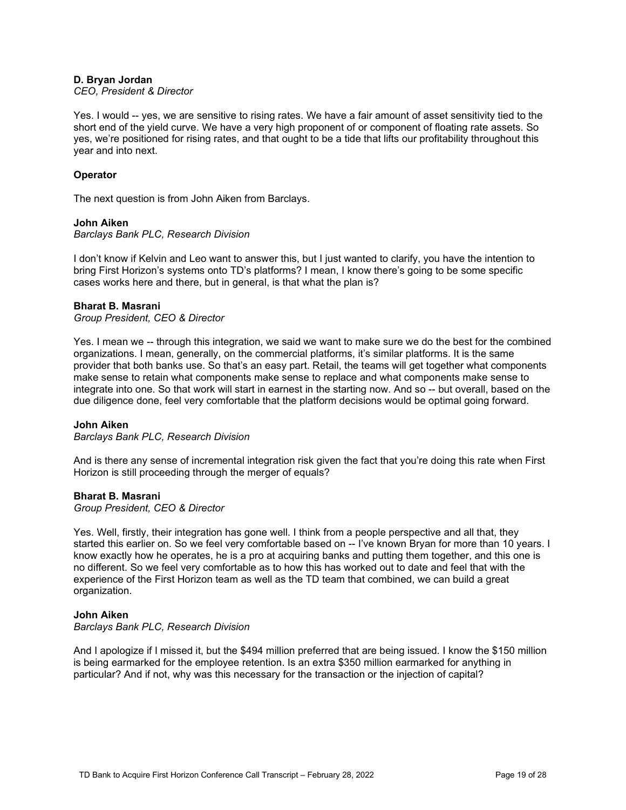# **D. Bryan Jordan**

### *CEO, President & Director*

Yes. I would -- yes, we are sensitive to rising rates. We have a fair amount of asset sensitivity tied to the short end of the yield curve. We have a very high proponent of or component of floating rate assets. So yes, we're positioned for rising rates, and that ought to be a tide that lifts our profitability throughout this year and into next.

### **Operator**

The next question is from John Aiken from Barclays.

### **John Aiken**

*Barclays Bank PLC, Research Division*

I don't know if Kelvin and Leo want to answer this, but I just wanted to clarify, you have the intention to bring First Horizon's systems onto TD's platforms? I mean, I know there's going to be some specific cases works here and there, but in general, is that what the plan is?

### **Bharat B. Masrani**

*Group President, CEO & Director*

Yes. I mean we -- through this integration, we said we want to make sure we do the best for the combined organizations. I mean, generally, on the commercial platforms, it's similar platforms. It is the same provider that both banks use. So that's an easy part. Retail, the teams will get together what components make sense to retain what components make sense to replace and what components make sense to integrate into one. So that work will start in earnest in the starting now. And so -- but overall, based on the due diligence done, feel very comfortable that the platform decisions would be optimal going forward.

#### **John Aiken**

*Barclays Bank PLC, Research Division*

And is there any sense of incremental integration risk given the fact that you're doing this rate when First Horizon is still proceeding through the merger of equals?

### **Bharat B. Masrani**

*Group President, CEO & Director*

Yes. Well, firstly, their integration has gone well. I think from a people perspective and all that, they started this earlier on. So we feel very comfortable based on -- I've known Bryan for more than 10 years. I know exactly how he operates, he is a pro at acquiring banks and putting them together, and this one is no different. So we feel very comfortable as to how this has worked out to date and feel that with the experience of the First Horizon team as well as the TD team that combined, we can build a great organization.

### **John Aiken**

*Barclays Bank PLC, Research Division*

And I apologize if I missed it, but the \$494 million preferred that are being issued. I know the \$150 million is being earmarked for the employee retention. Is an extra \$350 million earmarked for anything in particular? And if not, why was this necessary for the transaction or the injection of capital?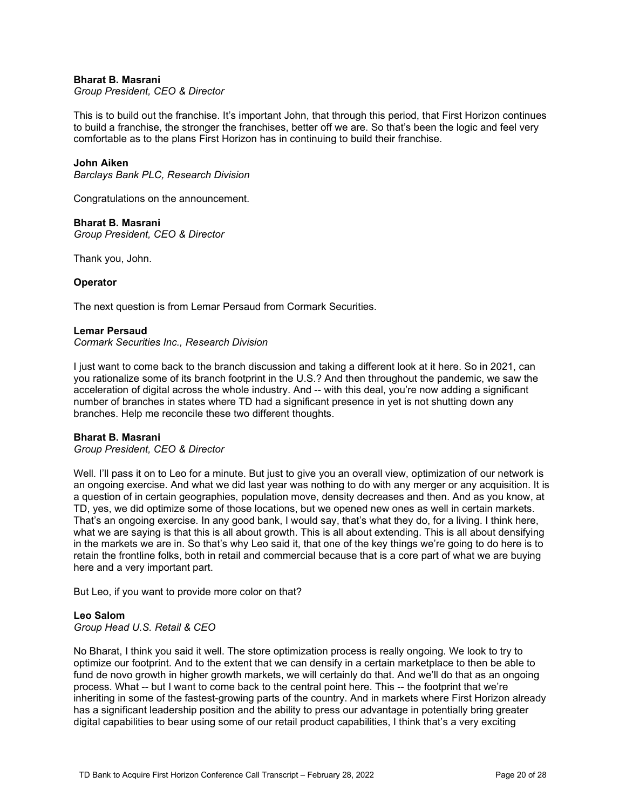### **Bharat B. Masrani**

*Group President, CEO & Director*

This is to build out the franchise. It's important John, that through this period, that First Horizon continues to build a franchise, the stronger the franchises, better off we are. So that's been the logic and feel very comfortable as to the plans First Horizon has in continuing to build their franchise.

### **John Aiken**

*Barclays Bank PLC, Research Division*

Congratulations on the announcement.

### **Bharat B. Masrani**

*Group President, CEO & Director*

Thank you, John.

### **Operator**

The next question is from Lemar Persaud from Cormark Securities.

### **Lemar Persaud**

*Cormark Securities Inc., Research Division*

I just want to come back to the branch discussion and taking a different look at it here. So in 2021, can you rationalize some of its branch footprint in the U.S.? And then throughout the pandemic, we saw the acceleration of digital across the whole industry. And -- with this deal, you're now adding a significant number of branches in states where TD had a significant presence in yet is not shutting down any branches. Help me reconcile these two different thoughts.

### **Bharat B. Masrani**

*Group President, CEO & Director*

Well. I'll pass it on to Leo for a minute. But just to give you an overall view, optimization of our network is an ongoing exercise. And what we did last year was nothing to do with any merger or any acquisition. It is a question of in certain geographies, population move, density decreases and then. And as you know, at TD, yes, we did optimize some of those locations, but we opened new ones as well in certain markets. That's an ongoing exercise. In any good bank, I would say, that's what they do, for a living. I think here, what we are saying is that this is all about growth. This is all about extending. This is all about densifying in the markets we are in. So that's why Leo said it, that one of the key things we're going to do here is to retain the frontline folks, both in retail and commercial because that is a core part of what we are buying here and a very important part.

But Leo, if you want to provide more color on that?

### **Leo Salom**

*Group Head U.S. Retail & CEO*

No Bharat, I think you said it well. The store optimization process is really ongoing. We look to try to optimize our footprint. And to the extent that we can densify in a certain marketplace to then be able to fund de novo growth in higher growth markets, we will certainly do that. And we'll do that as an ongoing process. What -- but I want to come back to the central point here. This -- the footprint that we're inheriting in some of the fastest-growing parts of the country. And in markets where First Horizon already has a significant leadership position and the ability to press our advantage in potentially bring greater digital capabilities to bear using some of our retail product capabilities, I think that's a very exciting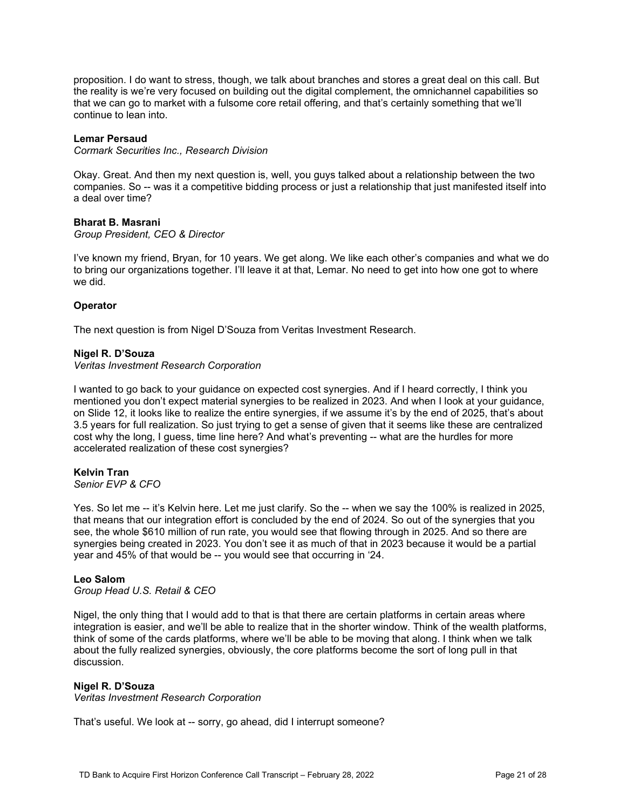proposition. I do want to stress, though, we talk about branches and stores a great deal on this call. But the reality is we're very focused on building out the digital complement, the omnichannel capabilities so that we can go to market with a fulsome core retail offering, and that's certainly something that we'll continue to lean into.

### **Lemar Persaud**

*Cormark Securities Inc., Research Division*

Okay. Great. And then my next question is, well, you guys talked about a relationship between the two companies. So -- was it a competitive bidding process or just a relationship that just manifested itself into a deal over time?

#### **Bharat B. Masrani**

*Group President, CEO & Director*

I've known my friend, Bryan, for 10 years. We get along. We like each other's companies and what we do to bring our organizations together. I'll leave it at that, Lemar. No need to get into how one got to where we did.

### **Operator**

The next question is from Nigel D'Souza from Veritas Investment Research.

#### **Nigel R. D'Souza**

*Veritas Investment Research Corporation*

I wanted to go back to your guidance on expected cost synergies. And if I heard correctly, I think you mentioned you don't expect material synergies to be realized in 2023. And when I look at your guidance, on Slide 12, it looks like to realize the entire synergies, if we assume it's by the end of 2025, that's about 3.5 years for full realization. So just trying to get a sense of given that it seems like these are centralized cost why the long, I guess, time line here? And what's preventing -- what are the hurdles for more accelerated realization of these cost synergies?

# **Kelvin Tran**

*Senior EVP & CFO*

Yes. So let me -- it's Kelvin here. Let me just clarify. So the -- when we say the 100% is realized in 2025, that means that our integration effort is concluded by the end of 2024. So out of the synergies that you see, the whole \$610 million of run rate, you would see that flowing through in 2025. And so there are synergies being created in 2023. You don't see it as much of that in 2023 because it would be a partial year and 45% of that would be -- you would see that occurring in '24.

#### **Leo Salom**

*Group Head U.S. Retail & CEO*

Nigel, the only thing that I would add to that is that there are certain platforms in certain areas where integration is easier, and we'll be able to realize that in the shorter window. Think of the wealth platforms, think of some of the cards platforms, where we'll be able to be moving that along. I think when we talk about the fully realized synergies, obviously, the core platforms become the sort of long pull in that discussion.

#### **Nigel R. D'Souza**

*Veritas Investment Research Corporation*

That's useful. We look at -- sorry, go ahead, did I interrupt someone?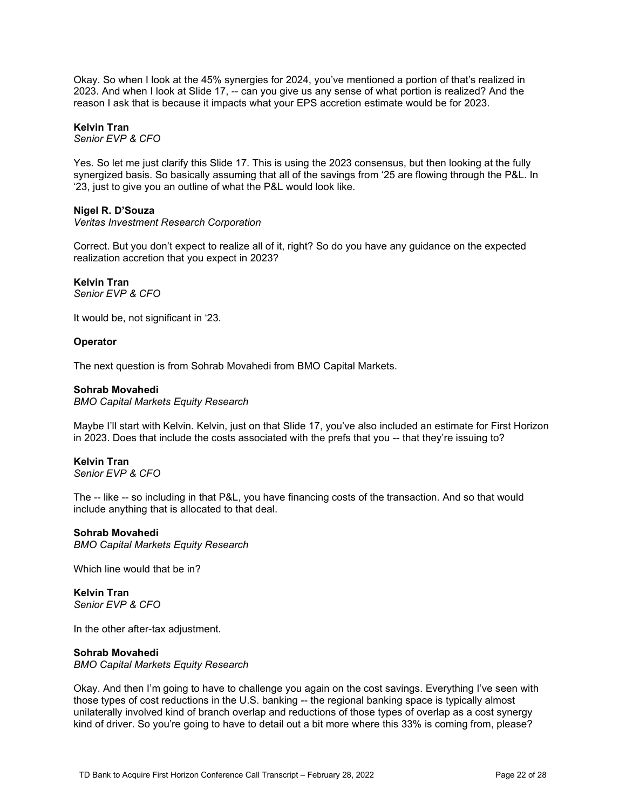Okay. So when I look at the 45% synergies for 2024, you've mentioned a portion of that's realized in 2023. And when I look at Slide 17, -- can you give us any sense of what portion is realized? And the reason I ask that is because it impacts what your EPS accretion estimate would be for 2023.

### **Kelvin Tran**

*Senior EVP & CFO*

Yes. So let me just clarify this Slide 17. This is using the 2023 consensus, but then looking at the fully synergized basis. So basically assuming that all of the savings from '25 are flowing through the P&L. In '23, just to give you an outline of what the P&L would look like.

# **Nigel R. D'Souza**

*Veritas Investment Research Corporation*

Correct. But you don't expect to realize all of it, right? So do you have any guidance on the expected realization accretion that you expect in 2023?

# **Kelvin Tran**

*Senior EVP & CFO*

It would be, not significant in '23.

# **Operator**

The next question is from Sohrab Movahedi from BMO Capital Markets.

### **Sohrab Movahedi**

*BMO Capital Markets Equity Research*

Maybe I'll start with Kelvin. Kelvin, just on that Slide 17, you've also included an estimate for First Horizon in 2023. Does that include the costs associated with the prefs that you -- that they're issuing to?

#### **Kelvin Tran** *Senior EVP & CFO*

The -- like -- so including in that P&L, you have financing costs of the transaction. And so that would include anything that is allocated to that deal.

### **Sohrab Movahedi**

*BMO Capital Markets Equity Research*

Which line would that be in?

#### **Kelvin Tran** *Senior EVP & CFO*

In the other after-tax adjustment.

### **Sohrab Movahedi**

*BMO Capital Markets Equity Research*

Okay. And then I'm going to have to challenge you again on the cost savings. Everything I've seen with those types of cost reductions in the U.S. banking -- the regional banking space is typically almost unilaterally involved kind of branch overlap and reductions of those types of overlap as a cost synergy kind of driver. So you're going to have to detail out a bit more where this 33% is coming from, please?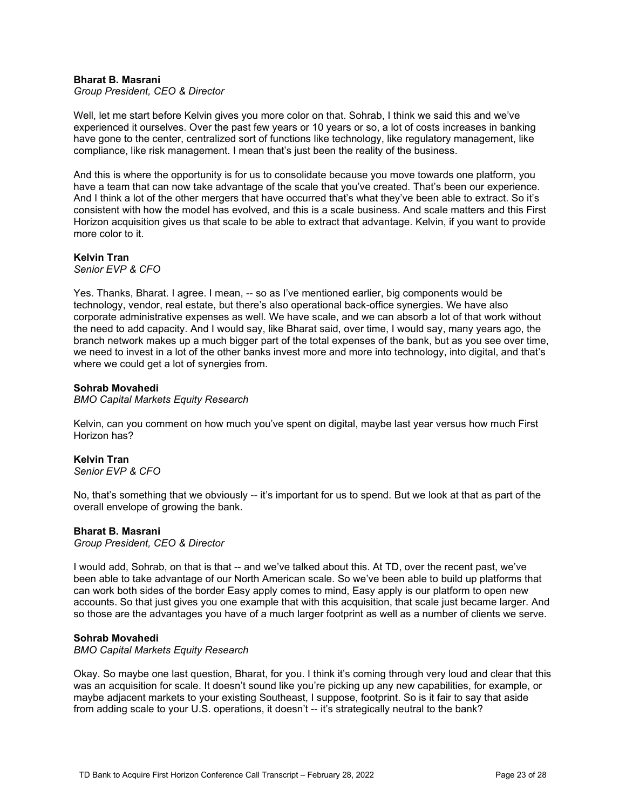### **Bharat B. Masrani**

*Group President, CEO & Director*

Well, let me start before Kelvin gives you more color on that. Sohrab, I think we said this and we've experienced it ourselves. Over the past few years or 10 years or so, a lot of costs increases in banking have gone to the center, centralized sort of functions like technology, like regulatory management, like compliance, like risk management. I mean that's just been the reality of the business.

And this is where the opportunity is for us to consolidate because you move towards one platform, you have a team that can now take advantage of the scale that you've created. That's been our experience. And I think a lot of the other mergers that have occurred that's what they've been able to extract. So it's consistent with how the model has evolved, and this is a scale business. And scale matters and this First Horizon acquisition gives us that scale to be able to extract that advantage. Kelvin, if you want to provide more color to it.

**Kelvin Tran** *Senior EVP & CFO*

Yes. Thanks, Bharat. I agree. I mean, -- so as I've mentioned earlier, big components would be technology, vendor, real estate, but there's also operational back-office synergies. We have also corporate administrative expenses as well. We have scale, and we can absorb a lot of that work without the need to add capacity. And I would say, like Bharat said, over time, I would say, many years ago, the branch network makes up a much bigger part of the total expenses of the bank, but as you see over time, we need to invest in a lot of the other banks invest more and more into technology, into digital, and that's where we could get a lot of synergies from.

### **Sohrab Movahedi**

*BMO Capital Markets Equity Research*

Kelvin, can you comment on how much you've spent on digital, maybe last year versus how much First Horizon has?

**Kelvin Tran** *Senior EVP & CFO*

No, that's something that we obviously -- it's important for us to spend. But we look at that as part of the overall envelope of growing the bank.

#### **Bharat B. Masrani**

*Group President, CEO & Director*

I would add, Sohrab, on that is that -- and we've talked about this. At TD, over the recent past, we've been able to take advantage of our North American scale. So we've been able to build up platforms that can work both sides of the border Easy apply comes to mind, Easy apply is our platform to open new accounts. So that just gives you one example that with this acquisition, that scale just became larger. And so those are the advantages you have of a much larger footprint as well as a number of clients we serve.

#### **Sohrab Movahedi**

*BMO Capital Markets Equity Research*

Okay. So maybe one last question, Bharat, for you. I think it's coming through very loud and clear that this was an acquisition for scale. It doesn't sound like you're picking up any new capabilities, for example, or maybe adjacent markets to your existing Southeast, I suppose, footprint. So is it fair to say that aside from adding scale to your U.S. operations, it doesn't -- it's strategically neutral to the bank?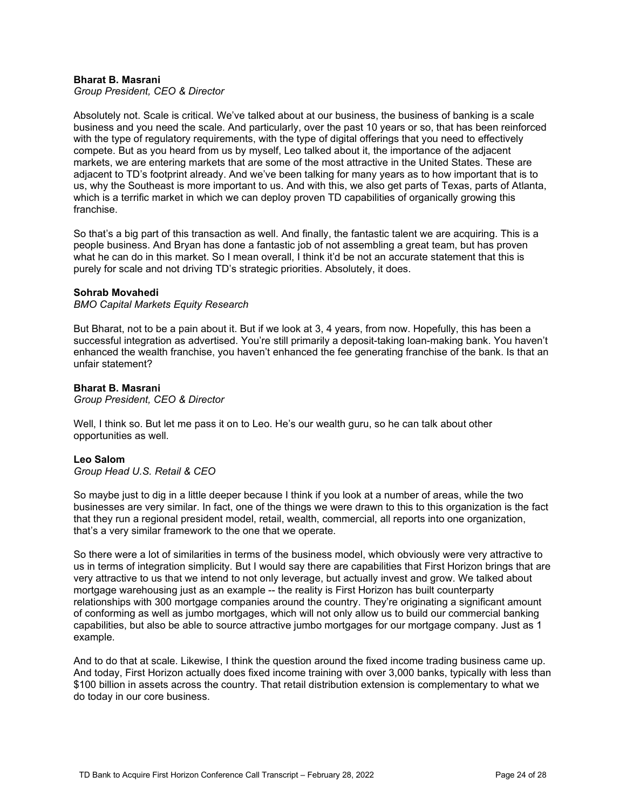### **Bharat B. Masrani**

*Group President, CEO & Director*

Absolutely not. Scale is critical. We've talked about at our business, the business of banking is a scale business and you need the scale. And particularly, over the past 10 years or so, that has been reinforced with the type of regulatory requirements, with the type of digital offerings that you need to effectively compete. But as you heard from us by myself, Leo talked about it, the importance of the adjacent markets, we are entering markets that are some of the most attractive in the United States. These are adjacent to TD's footprint already. And we've been talking for many years as to how important that is to us, why the Southeast is more important to us. And with this, we also get parts of Texas, parts of Atlanta, which is a terrific market in which we can deploy proven TD capabilities of organically growing this franchise.

So that's a big part of this transaction as well. And finally, the fantastic talent we are acquiring. This is a people business. And Bryan has done a fantastic job of not assembling a great team, but has proven what he can do in this market. So I mean overall, I think it'd be not an accurate statement that this is purely for scale and not driving TD's strategic priorities. Absolutely, it does.

### **Sohrab Movahedi**

#### *BMO Capital Markets Equity Research*

But Bharat, not to be a pain about it. But if we look at 3, 4 years, from now. Hopefully, this has been a successful integration as advertised. You're still primarily a deposit-taking loan-making bank. You haven't enhanced the wealth franchise, you haven't enhanced the fee generating franchise of the bank. Is that an unfair statement?

### **Bharat B. Masrani**

*Group President, CEO & Director*

Well, I think so. But let me pass it on to Leo. He's our wealth guru, so he can talk about other opportunities as well.

#### **Leo Salom**

*Group Head U.S. Retail & CEO*

So maybe just to dig in a little deeper because I think if you look at a number of areas, while the two businesses are very similar. In fact, one of the things we were drawn to this to this organization is the fact that they run a regional president model, retail, wealth, commercial, all reports into one organization, that's a very similar framework to the one that we operate.

So there were a lot of similarities in terms of the business model, which obviously were very attractive to us in terms of integration simplicity. But I would say there are capabilities that First Horizon brings that are very attractive to us that we intend to not only leverage, but actually invest and grow. We talked about mortgage warehousing just as an example -- the reality is First Horizon has built counterparty relationships with 300 mortgage companies around the country. They're originating a significant amount of conforming as well as jumbo mortgages, which will not only allow us to build our commercial banking capabilities, but also be able to source attractive jumbo mortgages for our mortgage company. Just as 1 example.

And to do that at scale. Likewise, I think the question around the fixed income trading business came up. And today, First Horizon actually does fixed income training with over 3,000 banks, typically with less than \$100 billion in assets across the country. That retail distribution extension is complementary to what we do today in our core business.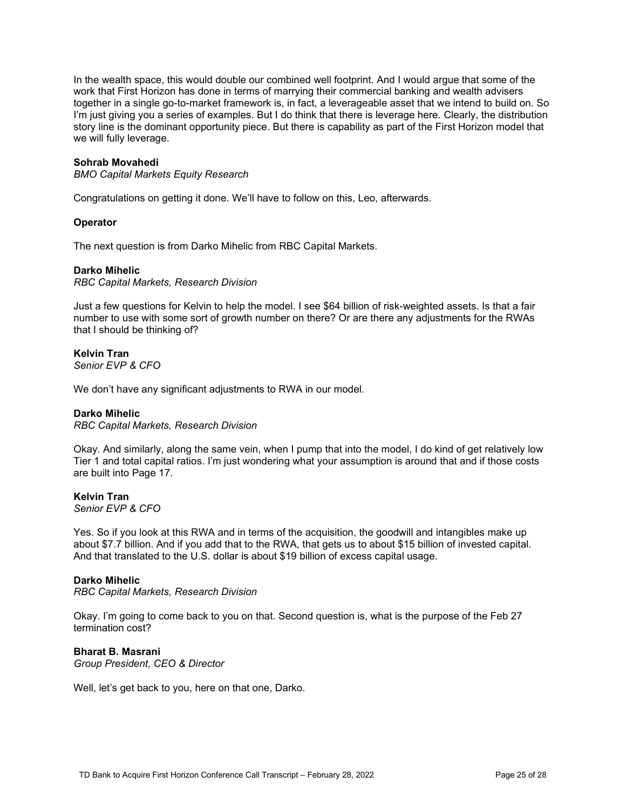In the wealth space, this would double our combined well footprint. And I would argue that some of the work that First Horizon has done in terms of marrying their commercial banking and wealth advisers together in a single go-to-market framework is, in fact, a leverageable asset that we intend to build on. So I'm just giving you a series of examples. But I do think that there is leverage here. Clearly, the distribution story line is the dominant opportunity piece. But there is capability as part of the First Horizon model that we will fully leverage.

### **Sohrab Movahedi**

*BMO Capital Markets Equity Research*

Congratulations on getting it done. We'll have to follow on this, Leo, afterwards.

### **Operator**

The next question is from Darko Mihelic from RBC Capital Markets.

### **Darko Mihelic**

*RBC Capital Markets, Research Division*

Just a few questions for Kelvin to help the model. I see \$64 billion of risk-weighted assets. Is that a fair number to use with some sort of growth number on there? Or are there any adjustments for the RWAs that I should be thinking of?

#### **Kelvin Tran** *Senior EVP & CFO*

We don't have any significant adjustments to RWA in our model.

### **Darko Mihelic**

*RBC Capital Markets, Research Division*

Okay. And similarly, along the same vein, when I pump that into the model, I do kind of get relatively low Tier 1 and total capital ratios. I'm just wondering what your assumption is around that and if those costs are built into Page 17.

### **Kelvin Tran**

*Senior EVP & CFO*

Yes. So if you look at this RWA and in terms of the acquisition, the goodwill and intangibles make up about \$7.7 billion. And if you add that to the RWA, that gets us to about \$15 billion of invested capital. And that translated to the U.S. dollar is about \$19 billion of excess capital usage.

### **Darko Mihelic**

*RBC Capital Markets, Research Division*

Okay. I'm going to come back to you on that. Second question is, what is the purpose of the Feb 27 termination cost?

### **Bharat B. Masrani**

*Group President, CEO & Director*

Well, let's get back to you, here on that one, Darko.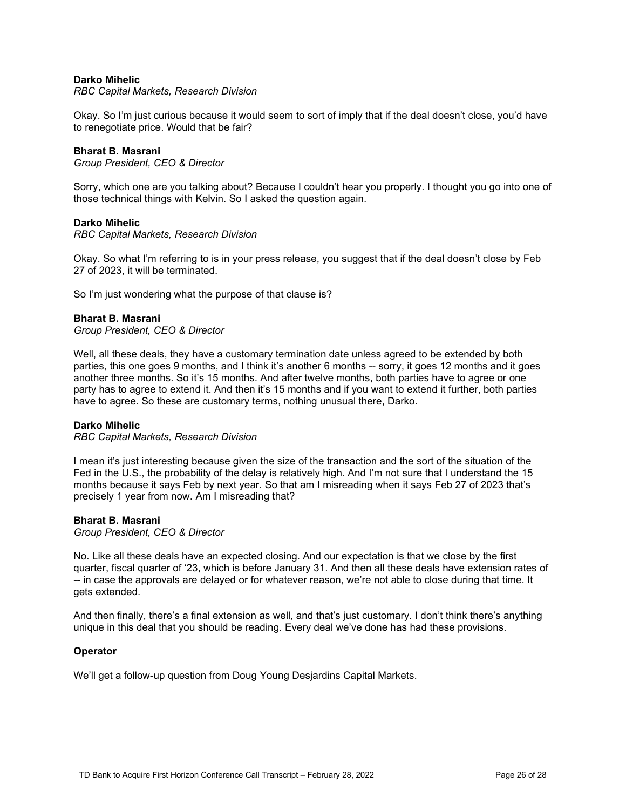### **Darko Mihelic**

### *RBC Capital Markets, Research Division*

Okay. So I'm just curious because it would seem to sort of imply that if the deal doesn't close, you'd have to renegotiate price. Would that be fair?

### **Bharat B. Masrani**

*Group President, CEO & Director*

Sorry, which one are you talking about? Because I couldn't hear you properly. I thought you go into one of those technical things with Kelvin. So I asked the question again.

### **Darko Mihelic**

*RBC Capital Markets, Research Division*

Okay. So what I'm referring to is in your press release, you suggest that if the deal doesn't close by Feb 27 of 2023, it will be terminated.

So I'm just wondering what the purpose of that clause is?

### **Bharat B. Masrani**

*Group President, CEO & Director*

Well, all these deals, they have a customary termination date unless agreed to be extended by both parties, this one goes 9 months, and I think it's another 6 months -- sorry, it goes 12 months and it goes another three months. So it's 15 months. And after twelve months, both parties have to agree or one party has to agree to extend it. And then it's 15 months and if you want to extend it further, both parties have to agree. So these are customary terms, nothing unusual there, Darko.

#### **Darko Mihelic**

*RBC Capital Markets, Research Division*

I mean it's just interesting because given the size of the transaction and the sort of the situation of the Fed in the U.S., the probability of the delay is relatively high. And I'm not sure that I understand the 15 months because it says Feb by next year. So that am I misreading when it says Feb 27 of 2023 that's precisely 1 year from now. Am I misreading that?

### **Bharat B. Masrani**

*Group President, CEO & Director*

No. Like all these deals have an expected closing. And our expectation is that we close by the first quarter, fiscal quarter of '23, which is before January 31. And then all these deals have extension rates of -- in case the approvals are delayed or for whatever reason, we're not able to close during that time. It gets extended.

And then finally, there's a final extension as well, and that's just customary. I don't think there's anything unique in this deal that you should be reading. Every deal we've done has had these provisions.

#### **Operator**

We'll get a follow-up question from Doug Young Desjardins Capital Markets.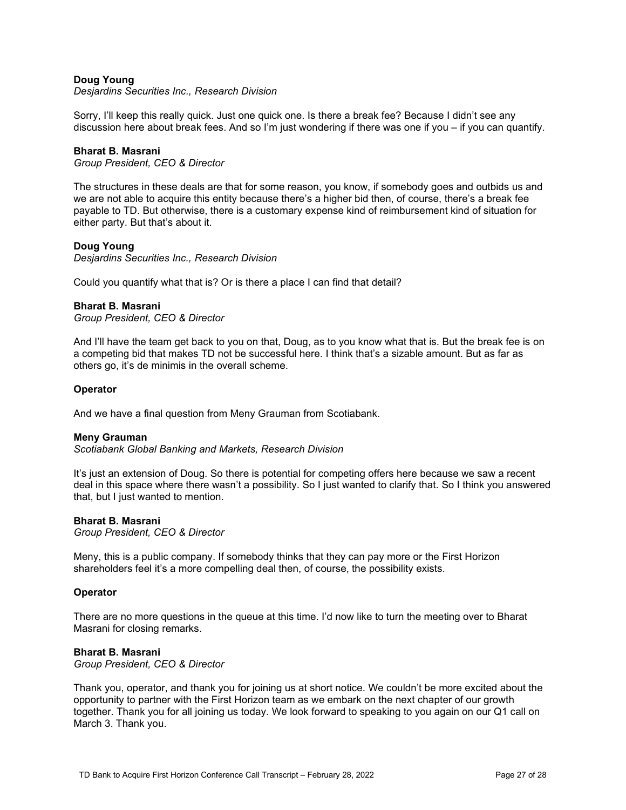# **Doug Young**

*Desjardins Securities Inc., Research Division*

Sorry, I'll keep this really quick. Just one quick one. Is there a break fee? Because I didn't see any discussion here about break fees. And so I'm just wondering if there was one if you – if you can quantify.

### **Bharat B. Masrani**

*Group President, CEO & Director*

The structures in these deals are that for some reason, you know, if somebody goes and outbids us and we are not able to acquire this entity because there's a higher bid then, of course, there's a break fee payable to TD. But otherwise, there is a customary expense kind of reimbursement kind of situation for either party. But that's about it.

### **Doug Young**

*Desjardins Securities Inc., Research Division*

Could you quantify what that is? Or is there a place I can find that detail?

#### **Bharat B. Masrani**

*Group President, CEO & Director*

And I'll have the team get back to you on that, Doug, as to you know what that is. But the break fee is on a competing bid that makes TD not be successful here. I think that's a sizable amount. But as far as others go, it's de minimis in the overall scheme.

#### **Operator**

And we have a final question from Meny Grauman from Scotiabank.

#### **Meny Grauman**

*Scotiabank Global Banking and Markets, Research Division*

It's just an extension of Doug. So there is potential for competing offers here because we saw a recent deal in this space where there wasn't a possibility. So I just wanted to clarify that. So I think you answered that, but I just wanted to mention.

### **Bharat B. Masrani**

*Group President, CEO & Director*

Meny, this is a public company. If somebody thinks that they can pay more or the First Horizon shareholders feel it's a more compelling deal then, of course, the possibility exists.

#### **Operator**

There are no more questions in the queue at this time. I'd now like to turn the meeting over to Bharat Masrani for closing remarks.

# **Bharat B. Masrani**

*Group President, CEO & Director*

Thank you, operator, and thank you for joining us at short notice. We couldn't be more excited about the opportunity to partner with the First Horizon team as we embark on the next chapter of our growth together. Thank you for all joining us today. We look forward to speaking to you again on our Q1 call on March 3. Thank you.